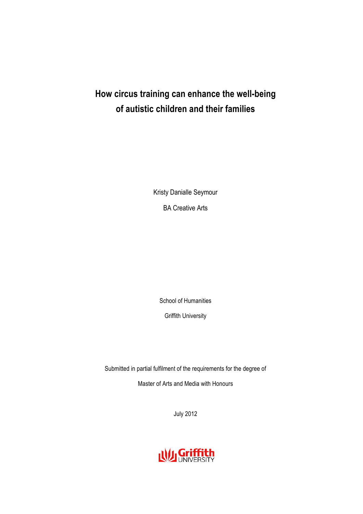# **How circus training can enhance the well-being of autistic children and their families**

Kristy Danialle Seymour BA Creative Arts

School of Humanities

Griffith University

Submitted in partial fulfilment of the requirements for the degree of

Master of Arts and Media with Honours

July 2012

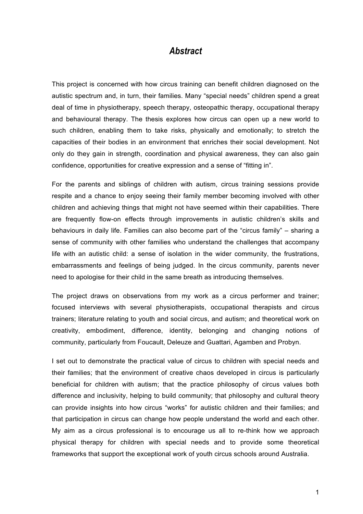## *Abstract*

This project is concerned with how circus training can benefit children diagnosed on the autistic spectrum and, in turn, their families. Many "special needs" children spend a great deal of time in physiotherapy, speech therapy, osteopathic therapy, occupational therapy and behavioural therapy. The thesis explores how circus can open up a new world to such children, enabling them to take risks, physically and emotionally; to stretch the capacities of their bodies in an environment that enriches their social development. Not only do they gain in strength, coordination and physical awareness, they can also gain confidence, opportunities for creative expression and a sense of "fitting in".

For the parents and siblings of children with autism, circus training sessions provide respite and a chance to enjoy seeing their family member becoming involved with other children and achieving things that might not have seemed within their capabilities. There are frequently flow-on effects through improvements in autistic children's skills and behaviours in daily life. Families can also become part of the "circus family" – sharing a sense of community with other families who understand the challenges that accompany life with an autistic child: a sense of isolation in the wider community, the frustrations, embarrassments and feelings of being judged. In the circus community, parents never need to apologise for their child in the same breath as introducing themselves.

The project draws on observations from my work as a circus performer and trainer; focused interviews with several physiotherapists, occupational therapists and circus trainers; literature relating to youth and social circus, and autism; and theoretical work on creativity, embodiment, difference, identity, belonging and changing notions of community, particularly from Foucault, Deleuze and Guattari, Agamben and Probyn.

I set out to demonstrate the practical value of circus to children with special needs and their families; that the environment of creative chaos developed in circus is particularly beneficial for children with autism; that the practice philosophy of circus values both difference and inclusivity, helping to build community; that philosophy and cultural theory can provide insights into how circus "works" for autistic children and their families; and that participation in circus can change how people understand the world and each other. My aim as a circus professional is to encourage us all to re-think how we approach physical therapy for children with special needs and to provide some theoretical frameworks that support the exceptional work of youth circus schools around Australia.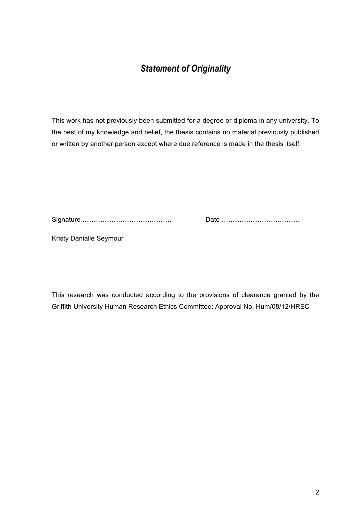# *Statement of Originality*

This work has not previously been submitted for a degree or diploma in any university. To the best of my knowledge and belief, the thesis contains no material previously published or written by another person except where due reference is made in the thesis itself.

Signature …………………………………. Date ……………………………..

Kristy Danialle Seymour

This research was conducted according to the provisions of clearance granted by the Griffith University Human Research Ethics Committee: Approval No. Hum/08/12/HREC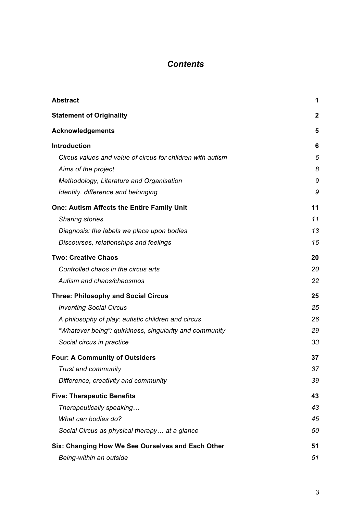# *Contents*

| <b>Abstract</b>                                            | 1                |
|------------------------------------------------------------|------------------|
| <b>Statement of Originality</b>                            | $\boldsymbol{2}$ |
| <b>Acknowledgements</b>                                    | 5                |
| <b>Introduction</b>                                        | 6                |
| Circus values and value of circus for children with autism | 6                |
| Aims of the project                                        | 8                |
| Methodology, Literature and Organisation                   | 9                |
| Identity, difference and belonging                         | 9                |
| <b>One: Autism Affects the Entire Family Unit</b>          | 11               |
| <b>Sharing stories</b>                                     | 11               |
| Diagnosis: the labels we place upon bodies                 | 13               |
| Discourses, relationships and feelings                     | 16               |
| <b>Two: Creative Chaos</b>                                 | 20               |
| Controlled chaos in the circus arts                        | 20               |
| Autism and chaos/chaosmos                                  | 22               |
| <b>Three: Philosophy and Social Circus</b>                 | 25               |
| <b>Inventing Social Circus</b>                             | 25               |
| A philosophy of play: autistic children and circus         | 26               |
| "Whatever being": quirkiness, singularity and community    | 29               |
| Social circus in practice                                  | 33               |
| <b>Four: A Community of Outsiders</b>                      | 37               |
| Trust and community                                        | 37               |
| Difference, creativity and community                       | 39               |
| <b>Five: Therapeutic Benefits</b>                          | 43               |
| Therapeutically speaking                                   | 43               |
| What can bodies do?                                        | 45               |
| Social Circus as physical therapy at a glance              | 50               |
| Six: Changing How We See Ourselves and Each Other          | 51               |
| Being-within an outside                                    | 51               |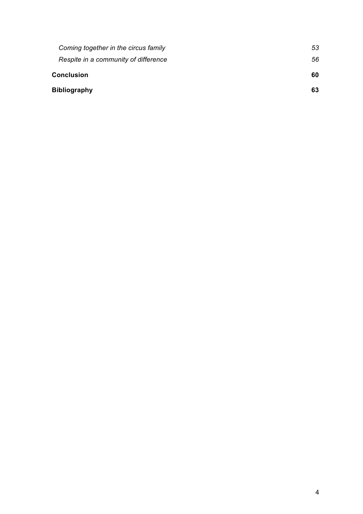| Coming together in the circus family | 53 |
|--------------------------------------|----|
| Respite in a community of difference | 56 |
| <b>Conclusion</b>                    | 60 |
| <b>Bibliography</b>                  | 63 |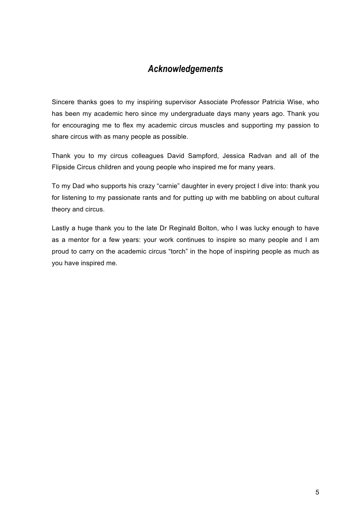# *Acknowledgements*

Sincere thanks goes to my inspiring supervisor Associate Professor Patricia Wise, who has been my academic hero since my undergraduate days many years ago. Thank you for encouraging me to flex my academic circus muscles and supporting my passion to share circus with as many people as possible.

Thank you to my circus colleagues David Sampford, Jessica Radvan and all of the Flipside Circus children and young people who inspired me for many years.

To my Dad who supports his crazy "carnie" daughter in every project I dive into: thank you for listening to my passionate rants and for putting up with me babbling on about cultural theory and circus.

Lastly a huge thank you to the late Dr Reginald Bolton, who I was lucky enough to have as a mentor for a few years: your work continues to inspire so many people and I am proud to carry on the academic circus "torch" in the hope of inspiring people as much as you have inspired me.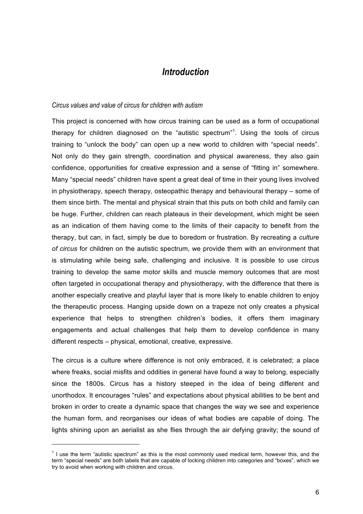# *Introduction*

### *Circus values and value of circus for children with autism*

This project is concerned with how circus training can be used as a form of occupational therapy for children diagnosed on the "autistic spectrum"<sup>1</sup>. Using the tools of circus training to "unlock the body" can open up a new world to children with "special needs". Not only do they gain strength, coordination and physical awareness, they also gain confidence, opportunities for creative expression and a sense of "fitting in" somewhere. Many "special needs" children have spent a great deal of time in their young lives involved in physiotherapy, speech therapy, osteopathic therapy and behavioural therapy – some of them since birth. The mental and physical strain that this puts on both child and family can be huge. Further, children can reach plateaus in their development, which might be seen as an indication of them having come to the limits of their capacity to benefit from the therapy, but can, in fact, simply be due to boredom or frustration. By recreating a *culture of circus* for children on the autistic spectrum, we provide them with an environment that is stimulating while being safe, challenging and inclusive. It is possible to use circus training to develop the same motor skills and muscle memory outcomes that are most often targeted in occupational therapy and physiotherapy, with the difference that there is another especially creative and playful layer that is more likely to enable children to enjoy the therapeutic process. Hanging upside down on a trapeze not only creates a physical experience that helps to strengthen children's bodies, it offers them imaginary engagements and actual challenges that help them to develop confidence in many different respects – physical, emotional, creative, expressive.

The circus is a culture where difference is not only embraced, it is celebrated; a place where freaks, social misfits and oddities in general have found a way to belong, especially since the 1800s. Circus has a history steeped in the idea of being different and unorthodox. It encourages "rules" and expectations about physical abilities to be bent and broken in order to create a dynamic space that changes the way we see and experience the human form, and reorganises our ideas of what bodies are capable of doing. The lights shining upon an aerialist as she flies through the air defying gravity; the sound of

 $1$  I use the term "autistic spectrum" as this is the most commonly used medical term, however this, and the term "special needs" are both labels that are capable of locking children into categories and "boxes", which we try to avoid when working with children and circus.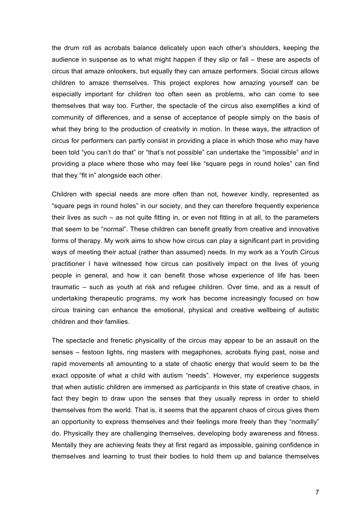the drum roll as acrobats balance delicately upon each other's shoulders, keeping the audience in suspense as to what might happen if they slip or fall – these are aspects of circus that amaze onlookers, but equally they can amaze performers. Social circus allows children to amaze themselves. This project explores how amazing yourself can be especially important for children too often seen as problems, who can come to see themselves that way too. Further, the spectacle of the circus also exemplifies a kind of community of differences, and a sense of acceptance of people simply on the basis of what they bring to the production of creativity in motion. In these ways, the attraction of circus for performers can partly consist in providing a place in which those who may have been told "you can't do that" or "that's not possible" can undertake the "impossible" *and* in providing a place where those who may feel like "square pegs in round holes" can find that they "fit in" alongside each other.

Children with special needs are more often than not, however kindly, represented as "square pegs in round holes" in our society, and they can therefore frequently experience their lives as such – as not quite fitting in, or even not fitting in at all, to the parameters that seem to be "normal". These children can benefit greatly from creative and innovative forms of therapy. My work aims to show how circus can play a significant part in providing ways of meeting their actual (rather than assumed) needs. In my work as a Youth Circus practitioner I have witnessed how circus can positively impact on the lives of young people in general, and how it can benefit those whose experience of life has been traumatic – such as youth at risk and refugee children. Over time, and as a result of undertaking therapeutic programs, my work has become increasingly focused on how circus training can enhance the emotional, physical and creative wellbeing of autistic children and their families.

The spectacle and frenetic physicality of the circus may appear to be an assault on the senses – festoon lights, ring masters with megaphones, acrobats flying past, noise and rapid movements all amounting to a state of chaotic energy that would seem to be the exact opposite of what a child with autism "needs". However, my experience suggests that when autistic children are immersed *as participants* in this state of creative chaos, in fact they begin to draw upon the senses that they usually repress in order to shield themselves from the world. That is, it seems that the apparent chaos of circus gives them an opportunity to express themselves and their feelings more freely than they "normally" do. Physically they are challenging themselves, developing body awareness and fitness. Mentally they are achieving feats they at first regard as impossible, gaining confidence in themselves and learning to trust their bodies to hold them up and balance themselves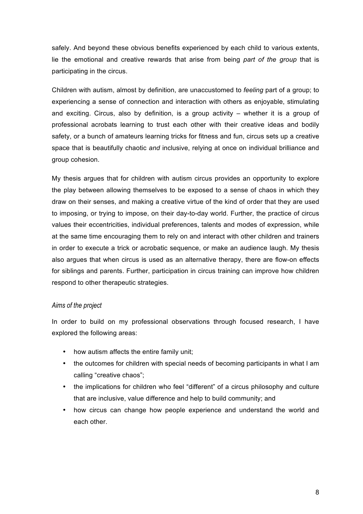safely. And beyond these obvious benefits experienced by each child to various extents, lie the emotional and creative rewards that arise from being *part of the group* that is participating in the circus.

Children with autism, almost by definition, are unaccustomed to *feeling* part of a group; to experiencing a sense of connection and interaction with others as enjoyable, stimulating and exciting. Circus, also by definition, is a group activity – whether it is a group of professional acrobats learning to trust each other with their creative ideas and bodily safety, or a bunch of amateurs learning tricks for fitness and fun, circus sets up a creative space that is beautifully chaotic *and* inclusive, relying at once on individual brilliance and group cohesion.

My thesis argues that for children with autism circus provides an opportunity to explore the play between allowing themselves to be exposed to a sense of chaos in which they draw on their senses, and making a creative virtue of the kind of order that they are used to imposing, or trying to impose, on their day-to-day world. Further, the practice of circus values their eccentricities, individual preferences, talents and modes of expression, while at the same time encouraging them to rely on and interact with other children and trainers in order to execute a trick or acrobatic sequence, or make an audience laugh. My thesis also argues that when circus is used as an alternative therapy, there are flow-on effects for siblings and parents. Further, participation in circus training can improve how children respond to other therapeutic strategies.

### *Aims of the project*

In order to build on my professional observations through focused research, I have explored the following areas:

- how autism affects the entire family unit;
- the outcomes for children with special needs of becoming participants in what I am calling "creative chaos";
- the implications for children who feel "different" of a circus philosophy and culture that are inclusive, value difference and help to build community; and
- how circus can change how people experience and understand the world and each other.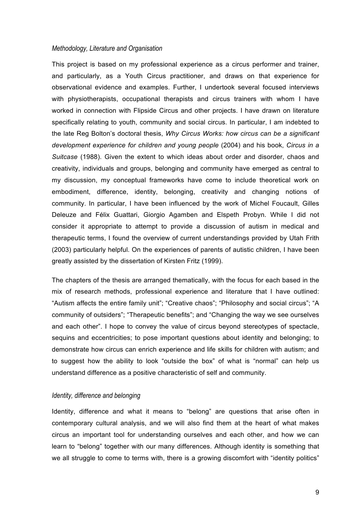#### *Methodology, Literature and Organisation*

This project is based on my professional experience as a circus performer and trainer, and particularly, as a Youth Circus practitioner, and draws on that experience for observational evidence and examples. Further, I undertook several focused interviews with physiotherapists, occupational therapists and circus trainers with whom I have worked in connection with Flipside Circus and other projects. I have drawn on literature specifically relating to youth, community and social circus. In particular, I am indebted to the late Reg Bolton's doctoral thesis, *Why Circus Works: how circus can be a significant development experience for children and young people* (2004) and his book, *Circus in a Suitcase* (1988). Given the extent to which ideas about order and disorder, chaos and creativity, individuals and groups, belonging and community have emerged as central to my discussion, my conceptual frameworks have come to include theoretical work on embodiment, difference, identity, belonging, creativity and changing notions of community. In particular, I have been influenced by the work of Michel Foucault, Gilles Deleuze and Félix Guattari, Giorgio Agamben and Elspeth Probyn. While I did not consider it appropriate to attempt to provide a discussion of autism in medical and therapeutic terms, I found the overview of current understandings provided by Utah Frith (2003) particularly helpful. On the experiences of parents of autistic children, I have been greatly assisted by the dissertation of Kirsten Fritz (1999).

The chapters of the thesis are arranged thematically, with the focus for each based in the mix of research methods, professional experience and literature that I have outlined: "Autism affects the entire family unit"; "Creative chaos"; "Philosophy and social circus"; "A community of outsiders"; "Therapeutic benefits"; and "Changing the way we see ourselves and each other". I hope to convey the value of circus beyond stereotypes of spectacle, sequins and eccentricities; to pose important questions about identity and belonging; to demonstrate how circus can enrich experience and life skills for children with autism; and to suggest how the ability to look "outside the box" of what is "normal" can help us understand difference as a positive characteristic of self and community.

### *Identity, difference and belonging*

Identity, difference and what it means to "belong" are questions that arise often in contemporary cultural analysis, and we will also find them at the heart of what makes circus an important tool for understanding ourselves and each other, and how we can learn to "belong" together with our many differences. Although identity is something that we all struggle to come to terms with, there is a growing discomfort with "identity politics"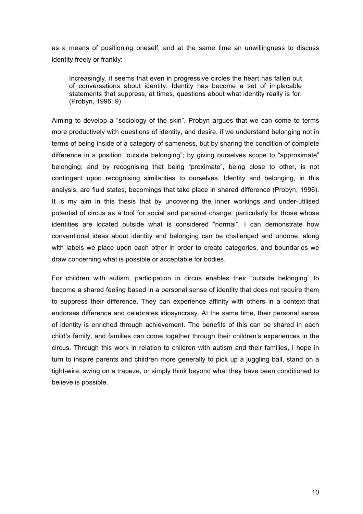as a means of positioning oneself, and at the same time an unwillingness to discuss identity freely or frankly:

Increasingly, it seems that even in progressive circles the heart has fallen out of conversations about identity. Identity has become a set of implacable statements that suppress, at times, questions about what identity really is for. (Probyn, 1996: 9)

Aiming to develop a "sociology of the skin", Probyn argues that we can come to terms more productively with questions of identity, and desire, if we understand belonging not in terms of being inside of a category of sameness, but by sharing the condition of complete difference in a position "outside belonging"; by giving ourselves scope to "approximate" belonging; and by recognising that being "proximate", being close to other, is not contingent upon recognising similarities to ourselves. Identity and belonging, in this analysis, are fluid states, becomings that take place in shared difference (Probyn, 1996). It is my aim in this thesis that by uncovering the inner workings and under-utilised potential of circus as a tool for social and personal change, particularly for those whose identities are located outside what is considered "normal", I can demonstrate how conventional ideas about identity and belonging can be challenged and undone, along with labels we place upon each other in order to create categories, and boundaries we draw concerning what is possible or acceptable for bodies.

For children with autism, participation in circus enables their "outside belonging" to become a shared feeling based in a personal sense of identity that does not require them to suppress their difference. They can experience affinity with others in a context that endorses difference and celebrates idiosyncrasy. At the same time, their personal sense of identity is enriched through achievement. The benefits of this can be shared in each child's family, and families can come together through their children's experiences in the circus. Through this work in relation to children with autism and their families, I hope in turn to inspire parents and children more generally to pick up a juggling ball, stand on a tight-wire, swing on a trapeze, or simply think beyond what they have been conditioned to believe is possible.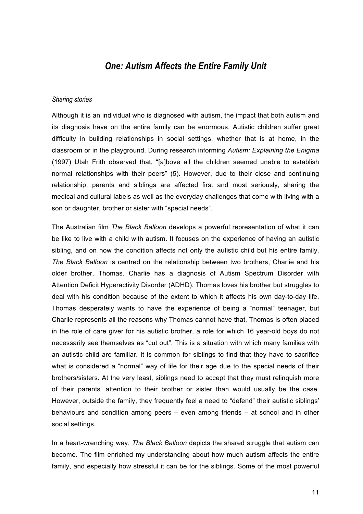# *One: Autism Affects the Entire Family Unit*

#### *Sharing stories*

Although it is an individual who is diagnosed with autism, the impact that both autism and its diagnosis have on the entire family can be enormous. Autistic children suffer great difficulty in building relationships in social settings, whether that is at home, in the classroom or in the playground. During research informing *Autism: Explaining the Enigma* (1997) Utah Frith observed that, "[a]bove all the children seemed unable to establish normal relationships with their peers" (5). However, due to their close and continuing relationship, parents and siblings are affected first and most seriously, sharing the medical and cultural labels as well as the everyday challenges that come with living with a son or daughter, brother or sister with "special needs".

The Australian film *The Black Balloon* develops a powerful representation of what it can be like to live with a child with autism. It focuses on the experience of having an autistic sibling, and on how the condition affects not only the autistic child but his entire family. *The Black Balloon* is centred on the relationship between two brothers, Charlie and his older brother, Thomas. Charlie has a diagnosis of Autism Spectrum Disorder with Attention Deficit Hyperactivity Disorder (ADHD). Thomas loves his brother but struggles to deal with his condition because of the extent to which it affects his own day-to-day life. Thomas desperately wants to have the experience of being a "normal" teenager, but Charlie represents all the reasons why Thomas cannot have that. Thomas is often placed in the role of care giver for his autistic brother, a role for which 16 year-old boys do not necessarily see themselves as "cut out". This is a situation with which many families with an autistic child are familiar. It is common for siblings to find that they have to sacrifice what is considered a "normal" way of life for their age due to the special needs of their brothers/sisters. At the very least, siblings need to accept that they must relinquish more of their parents' attention to their brother or sister than would usually be the case. However, outside the family, they frequently feel a need to "defend" their autistic siblings' behaviours and condition among peers – even among friends – at school and in other social settings.

In a heart-wrenching way, *The Black Balloon* depicts the shared struggle that autism can become. The film enriched my understanding about how much autism affects the entire family, and especially how stressful it can be for the siblings. Some of the most powerful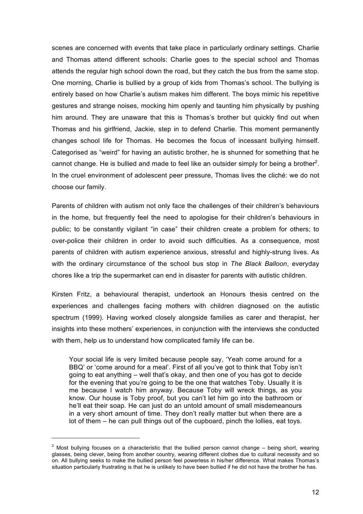scenes are concerned with events that take place in particularly ordinary settings. Charlie and Thomas attend different schools: Charlie goes to the special school and Thomas attends the regular high school down the road, but they catch the bus from the same stop. One morning, Charlie is bullied by a group of kids from Thomas's school. The bullying is entirely based on how Charlie's autism makes him different. The boys mimic his repetitive gestures and strange noises, mocking him openly and taunting him physically by pushing him around. They are unaware that this is Thomas's brother but quickly find out when Thomas and his girlfriend, Jackie, step in to defend Charlie. This moment permanently changes school life for Thomas. He becomes the focus of incessant bullying himself. Categorised as "weird" for having an autistic brother, he is shunned for something that he cannot change. He is bullied and made to feel like an outsider simply for being a brother<sup>2</sup>. In the cruel environment of adolescent peer pressure, Thomas lives the cliché: we do not choose our family.

Parents of children with autism not only face the challenges of their children's behaviours in the home, but frequently feel the need to apologise for their children's behaviours in public; to be constantly vigilant "in case" their children create a problem for others; to over-police their children in order to avoid such difficulties. As a consequence, most parents of children with autism experience anxious, stressful and highly-strung lives. As with the ordinary circumstance of the school bus stop in *The Black Balloon*, everyday chores like a trip the supermarket can end in disaster for parents with autistic children.

Kirsten Fritz, a behavioural therapist, undertook an Honours thesis centred on the experiences and challenges facing mothers with children diagnosed on the autistic spectrum (1999). Having worked closely alongside families as carer and therapist, her insights into these mothers' experiences, in conjunction with the interviews she conducted with them, help us to understand how complicated family life can be.

Your social life is very limited because people say, 'Yeah come around for a BBQ' or 'come around for a meal'. First of all you've got to think that Toby isn't going to eat anything – well that's okay, and then one of you has got to decide for the evening that you're going to be the one that watches Toby. Usually it is me because I watch him anyway. Because Toby will wreck things, as you know. Our house is Toby proof, but you can't let him go into the bathroom or he'll eat their soap. He can just do an untold amount of small misdemeanours in a very short amount of time. They don't really matter but when there are a lot of them – he can pull things out of the cupboard, pinch the lollies, eat toys.

 $2$  Most bullying focuses on a characteristic that the bullied person cannot change – being short, wearing glasses, being clever, being from another country, wearing different clothes due to cultural necessity and so on. All bullying seeks to make the bullied person feel powerless in his/her difference. What makes Thomas's situation particularly frustrating is that he is unlikely to have been bullied if he did not have the brother he has.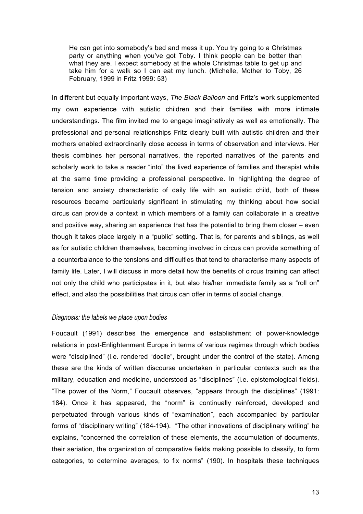He can get into somebody's bed and mess it up. You try going to a Christmas party or anything when you've got Toby. I think people can be better than what they are. I expect somebody at the whole Christmas table to get up and take him for a walk so I can eat my lunch. (Michelle, Mother to Toby, 26 February, 1999 in Fritz 1999: 53)

In different but equally important ways, *The Black Balloon* and Fritz's work supplemented my own experience with autistic children and their families with more intimate understandings. The film invited me to engage imaginatively as well as emotionally. The professional and personal relationships Fritz clearly built with autistic children and their mothers enabled extraordinarily close access in terms of observation and interviews. Her thesis combines her personal narratives, the reported narratives of the parents and scholarly work to take a reader "into" the lived experience of families and therapist while at the same time providing a professional perspective. In highlighting the degree of tension and anxiety characteristic of daily life with an autistic child, both of these resources became particularly significant in stimulating my thinking about how social circus can provide a context in which members of a family can collaborate in a creative and positive way, sharing an experience that has the potential to bring them closer – even though it takes place largely in a "public" setting. That is, for parents and siblings, as well as for autistic children themselves, becoming involved in circus can provide something of a counterbalance to the tensions and difficulties that tend to characterise many aspects of family life. Later, I will discuss in more detail how the benefits of circus training can affect not only the child who participates in it, but also his/her immediate family as a "roll on" effect, and also the possibilities that circus can offer in terms of social change.

#### *Diagnosis: the labels we place upon bodies*

Foucault (1991) describes the emergence and establishment of power-knowledge relations in post-Enlightenment Europe in terms of various regimes through which bodies were "disciplined" (i.e. rendered "docile", brought under the control of the state). Among these are the kinds of written discourse undertaken in particular contexts such as the military, education and medicine, understood as "disciplines" (i.e. epistemological fields). "The power of the Norm," Foucault observes, "appears through the disciplines" (1991: 184). Once it has appeared, the "norm" is continually reinforced, developed and perpetuated through various kinds of "examination", each accompanied by particular forms of "disciplinary writing" (184-194). "The other innovations of disciplinary writing" he explains, "concerned the correlation of these elements, the accumulation of documents, their seriation, the organization of comparative fields making possible to classify, to form categories, to determine averages, to fix norms" (190). In hospitals these techniques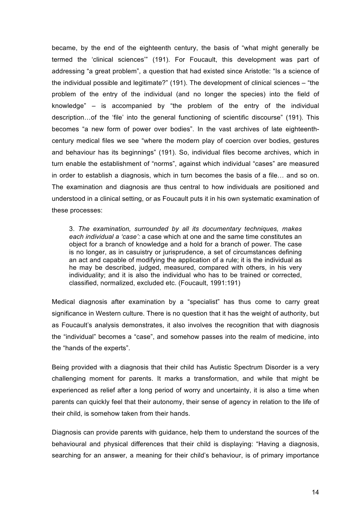became, by the end of the eighteenth century, the basis of "what might generally be termed the 'clinical sciences'" (191). For Foucault, this development was part of addressing "a great problem", a question that had existed since Aristotle: "Is a science of the individual possible and legitimate?" (191). The development of clinical sciences – "the problem of the entry of the individual (and no longer the species) into the field of knowledge" – is accompanied by "the problem of the entry of the individual description…of the 'file' into the general functioning of scientific discourse" (191). This becomes "a new form of power over bodies". In the vast archives of late eighteenthcentury medical files we see "where the modern play of coercion over bodies, gestures and behaviour has its beginnings" (191). So, individual files become archives, which in turn enable the establishment of "norms", against which individual "cases" are measured in order to establish a diagnosis, which in turn becomes the basis of a file… and so on. The examination and diagnosis are thus central to how individuals are positioned and understood in a clinical setting, or as Foucault puts it in his own systematic examination of these processes:

3. *The examination, surrounded by all its documentary techniques, makes each individual a 'case':* a case which at one and the same time constitutes an object for a branch of knowledge and a hold for a branch of power. The case is no longer, as in casuistry or jurisprudence, a set of circumstances defining an act and capable of modifying the application of a rule; it is the individual as he may be described, judged, measured, compared with others, in his very individuality; and it is also the individual who has to be trained or corrected, classified, normalized, excluded etc. (Foucault, 1991:191)

Medical diagnosis after examination by a "specialist" has thus come to carry great significance in Western culture. There is no question that it has the weight of authority, but as Foucault's analysis demonstrates, it also involves the recognition that with diagnosis the "individual" becomes a "case", and somehow passes into the realm of medicine, into the "hands of the experts".

Being provided with a diagnosis that their child has Autistic Spectrum Disorder is a very challenging moment for parents. It marks a transformation, and while that might be experienced as relief after a long period of worry and uncertainty, it is also a time when parents can quickly feel that their autonomy, their sense of agency in relation to the life of their child, is somehow taken from their hands.

Diagnosis can provide parents with guidance, help them to understand the sources of the behavioural and physical differences that their child is displaying: "Having a diagnosis, searching for an answer, a meaning for their child's behaviour, is of primary importance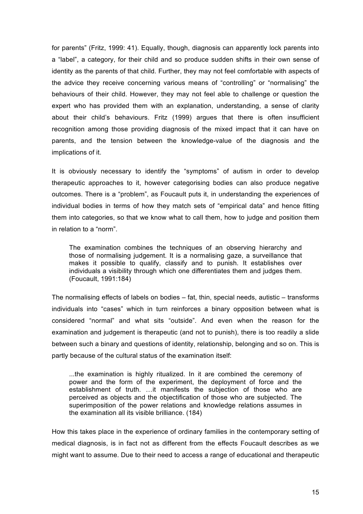for parents" (Fritz, 1999: 41). Equally, though, diagnosis can apparently lock parents into a "label", a category, for their child and so produce sudden shifts in their own sense of identity as the parents of that child. Further, they may not feel comfortable with aspects of the advice they receive concerning various means of "controlling" or "normalising" the behaviours of their child. However, they may not feel able to challenge or question the expert who has provided them with an explanation, understanding, a sense of clarity about their child's behaviours. Fritz (1999) argues that there is often insufficient recognition among those providing diagnosis of the mixed impact that it can have on parents, and the tension between the knowledge-value of the diagnosis and the implications of it.

It is obviously necessary to identify the "symptoms" of autism in order to develop therapeutic approaches to it, however categorising bodies can also produce negative outcomes. There is a "problem", as Foucault puts it, in understanding the experiences of individual bodies in terms of how they match sets of "empirical data" and hence fitting them into categories, so that we know what to call them, how to judge and position them in relation to a "norm".

The examination combines the techniques of an observing hierarchy and those of normalising judgement. It is a normalising gaze, a surveillance that makes it possible to qualify, classify and to punish. It establishes over individuals a visibility through which one differentiates them and judges them. (Foucault, 1991:184)

The normalising effects of labels on bodies – fat, thin, special needs, autistic – transforms individuals into "cases" which in turn reinforces a binary opposition between what is considered "normal" and what sits "outside". And even when the reason for the examination and judgement is therapeutic (and not to punish), there is too readily a slide between such a binary and questions of identity, relationship, belonging and so on. This is partly because of the cultural status of the examination itself:

...the examination is highly ritualized. In it are combined the ceremony of power and the form of the experiment, the deployment of force and the establishment of truth. …it manifests the subjection of those who are perceived as objects and the objectification of those who are subjected. The superimposition of the power relations and knowledge relations assumes in the examination all its visible brilliance. (184)

How this takes place in the experience of ordinary families in the contemporary setting of medical diagnosis, is in fact not as different from the effects Foucault describes as we might want to assume. Due to their need to access a range of educational and therapeutic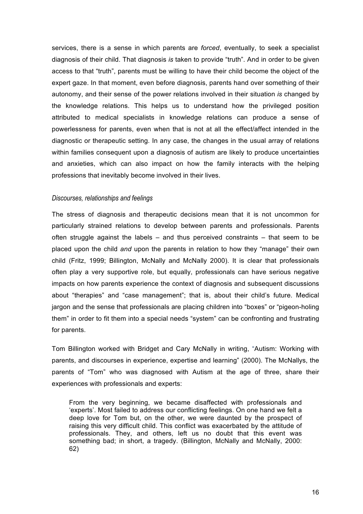services, there is a sense in which parents are *forced*, eventually, to seek a specialist diagnosis of their child. That diagnosis *is* taken to provide "truth". And in order to be given access to that "truth", parents must be willing to have their child become the object of the expert gaze. In that moment, even before diagnosis, parents hand over something of their autonomy, and their sense of the power relations involved in their situation *is* changed by the knowledge relations. This helps us to understand how the privileged position attributed to medical specialists in knowledge relations can produce a sense of powerlessness for parents, even when that is not at all the effect/affect intended in the diagnostic or therapeutic setting. In any case, the changes in the usual array of relations within families consequent upon a diagnosis of autism are likely to produce uncertainties and anxieties, which can also impact on how the family interacts with the helping professions that inevitably become involved in their lives.

### *Discourses, relationships and feelings*

The stress of diagnosis and therapeutic decisions mean that it is not uncommon for particularly strained relations to develop between parents and professionals. Parents often struggle against the labels  $-$  and thus perceived constraints  $-$  that seem to be placed upon the child *and* upon the parents in relation to how they "manage" their own child (Fritz, 1999; Billington, McNally and McNally 2000). It is clear that professionals often play a very supportive role, but equally, professionals can have serious negative impacts on how parents experience the context of diagnosis and subsequent discussions about "therapies" and "case management"; that is, about their child's future. Medical jargon and the sense that professionals are placing children into "boxes" or "pigeon-holing them" in order to fit them into a special needs "system" can be confronting and frustrating for parents.

Tom Billington worked with Bridget and Cary McNally in writing, "Autism: Working with parents, and discourses in experience, expertise and learning" (2000). The McNallys, the parents of "Tom" who was diagnosed with Autism at the age of three, share their experiences with professionals and experts:

From the very beginning, we became disaffected with professionals and 'experts'. Most failed to address our conflicting feelings. On one hand we felt a deep love for Tom but, on the other, we were daunted by the prospect of raising this very difficult child. This conflict was exacerbated by the attitude of professionals. They, and others, left us no doubt that this event was something bad; in short, a tragedy. (Billington, McNally and McNally, 2000: 62)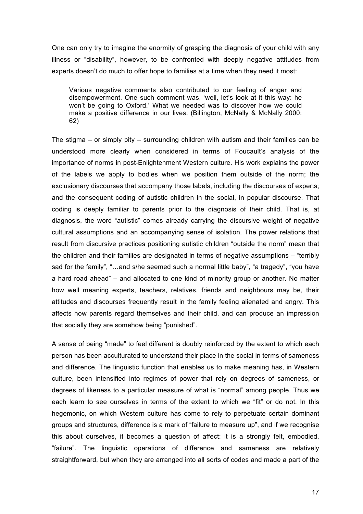One can only try to imagine the enormity of grasping the diagnosis of your child with any illness or "disability", however, to be confronted with deeply negative attitudes from experts doesn't do much to offer hope to families at a time when they need it most:

Various negative comments also contributed to our feeling of anger and disempowerment. One such comment was, 'well, let's look at it this way: he won't be going to Oxford.' What we needed was to discover how we could make a positive difference in our lives. (Billington, McNally & McNally 2000: 62)

The stigma – or simply pity – surrounding children with autism and their families can be understood more clearly when considered in terms of Foucault's analysis of the importance of norms in post-Enlightenment Western culture. His work explains the power of the labels we apply to bodies when we position them outside of the norm; the exclusionary discourses that accompany those labels, including the discourses of experts; and the consequent coding of autistic children in the social, in popular discourse. That coding is deeply familiar to parents prior to the diagnosis of their child. That is, at diagnosis, the word "autistic" comes already carrying the discursive weight of negative cultural assumptions and an accompanying sense of isolation. The power relations that result from discursive practices positioning autistic children "outside the norm" mean that the children and their families are designated in terms of negative assumptions – "terribly sad for the family", "…and s/he seemed such a normal little baby", "a tragedy", "you have a hard road ahead" – and allocated to one kind of minority group or another. No matter how well meaning experts, teachers, relatives, friends and neighbours may be, their attitudes and discourses frequently result in the family feeling alienated and angry. This affects how parents regard themselves and their child, and can produce an impression that socially they are somehow being "punished".

A sense of being "made" to feel different is doubly reinforced by the extent to which each person has been acculturated to understand their place in the social in terms of sameness and difference. The linguistic function that enables us to make meaning has, in Western culture, been intensified into regimes of power that rely on degrees of sameness, or degrees of likeness to a particular measure of what is "normal" among people. Thus we each learn to see ourselves in terms of the extent to which we "fit" or do not. In this hegemonic, on which Western culture has come to rely to perpetuate certain dominant groups and structures, difference is a mark of "failure to measure up", and if we recognise this about ourselves, it becomes a question of affect: it is a strongly felt, embodied, "failure". The linguistic operations of difference and sameness are relatively straightforward, but when they are arranged into all sorts of codes and made a part of the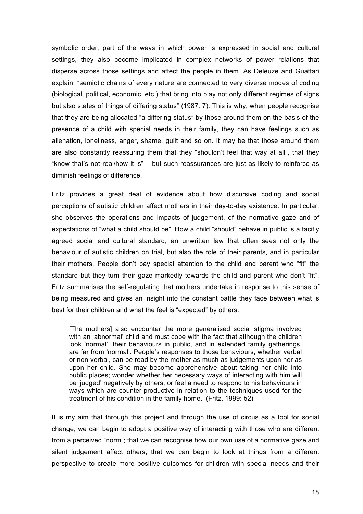symbolic order, part of the ways in which power is expressed in social and cultural settings, they also become implicated in complex networks of power relations that disperse across those settings and affect the people in them. As Deleuze and Guattari explain, "semiotic chains of every nature are connected to very diverse modes of coding (biological, political, economic, etc.) that bring into play not only different regimes of signs but also states of things of differing status" (1987: 7). This is why, when people recognise that they are being allocated "a differing status" by those around them on the basis of the presence of a child with special needs in their family, they can have feelings such as alienation, loneliness, anger, shame, guilt and so on. It may be that those around them are also constantly reassuring them that they "shouldn't feel that way at all", that they "know that's not real/how it is" – but such reassurances are just as likely to reinforce as diminish feelings of difference.

Fritz provides a great deal of evidence about how discursive coding and social perceptions of autistic children affect mothers in their day-to-day existence. In particular, she observes the operations and impacts of judgement, of the normative gaze and of expectations of "what a child should be". How a child "should" behave in public is a tacitly agreed social and cultural standard, an unwritten law that often sees not only the behaviour of autistic children on trial, but also the role of their parents, and in particular their mothers. People don't pay special attention to the child and parent who "fit" the standard but they turn their gaze markedly towards the child and parent who don't "fit". Fritz summarises the self-regulating that mothers undertake in response to this sense of being measured and gives an insight into the constant battle they face between what is best for their children and what the feel is "expected" by others:

[The mothers] also encounter the more generalised social stigma involved with an 'abnormal' child and must cope with the fact that although the children look 'normal', their behaviours in public, and in extended family gatherings, are far from 'normal'. People's responses to those behaviours, whether verbal or non-verbal, can be read by the mother as much as judgements upon her as upon her child. She may become apprehensive about taking her child into public places; wonder whether her necessary ways of interacting with him will be 'judged' negatively by others; or feel a need to respond to his behaviours in ways which are counter-productive in relation to the techniques used for the treatment of his condition in the family home. (Fritz, 1999: 52)

It is my aim that through this project and through the use of circus as a tool for social change, we can begin to adopt a positive way of interacting with those who are different from a perceived "norm"; that we can recognise how our own use of a normative gaze and silent judgement affect others; that we can begin to look at things from a different perspective to create more positive outcomes for children with special needs and their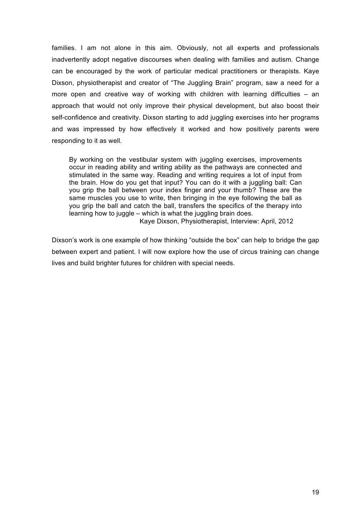families. I am not alone in this aim. Obviously, not all experts and professionals inadvertently adopt negative discourses when dealing with families and autism. Change can be encouraged by the work of particular medical practitioners or therapists. Kaye Dixson, physiotherapist and creator of "The Juggling Brain" program, saw a need for a more open and creative way of working with children with learning difficulties – an approach that would not only improve their physical development, but also boost their self-confidence and creativity. Dixson starting to add juggling exercises into her programs and was impressed by how effectively it worked and how positively parents were responding to it as well.

By working on the vestibular system with juggling exercises, improvements occur in reading ability and writing ability as the pathways are connected and stimulated in the same way. Reading and writing requires a lot of input from the brain. How do you get that input? You can do it with a juggling ball: Can you grip the ball between your index finger and your thumb? These are the same muscles you use to write, then bringing in the eye following the ball as you grip the ball and catch the ball, transfers the specifics of the therapy into learning how to juggle – which is what the juggling brain does.

Kaye Dixson, Physiotherapist, Interview: April, 2012

Dixson's work is one example of how thinking "outside the box" can help to bridge the gap between expert and patient. I will now explore how the use of circus training can change lives and build brighter futures for children with special needs.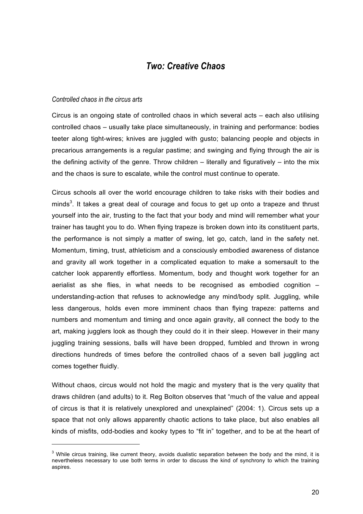# *Two: Creative Chaos*

### *Controlled chaos in the circus arts*

Circus is an ongoing state of controlled chaos in which several acts – each also utilising controlled chaos – usually take place simultaneously, in training and performance: bodies teeter along tight-wires; knives are juggled with gusto; balancing people and objects in precarious arrangements is a regular pastime; and swinging and flying through the air is the defining activity of the genre. Throw children – literally and figuratively – into the mix and the chaos is sure to escalate, while the control must continue to operate.

Circus schools all over the world encourage children to take risks with their bodies and minds<sup>3</sup>. It takes a great deal of courage and focus to get up onto a trapeze and thrust yourself into the air, trusting to the fact that your body and mind will remember what your trainer has taught you to do. When flying trapeze is broken down into its constituent parts, the performance is not simply a matter of swing, let go, catch, land in the safety net. Momentum, timing, trust, athleticism and a consciously embodied awareness of distance and gravity all work together in a complicated equation to make a somersault to the catcher look apparently effortless. Momentum, body and thought work together for an aerialist as she flies, in what needs to be recognised as embodied cognition – understanding-action that refuses to acknowledge any mind/body split. Juggling, while less dangerous, holds even more imminent chaos than flying trapeze: patterns and numbers and momentum and timing and once again gravity, all connect the body to the art, making jugglers look as though they could do it in their sleep. However in their many juggling training sessions, balls will have been dropped, fumbled and thrown in wrong directions hundreds of times before the controlled chaos of a seven ball juggling act comes together fluidly.

Without chaos, circus would not hold the magic and mystery that is the very quality that draws children (and adults) to it. Reg Bolton observes that "much of the value and appeal of circus is that it is relatively unexplored and unexplained" (2004: 1). Circus sets up a space that not only allows apparently chaotic actions to take place, but also enables all kinds of misfits, odd-bodies and kooky types to "fit in" together, and to be at the heart of

 $3$  While circus training, like current theory, avoids dualistic separation between the body and the mind, it is nevertheless necessary to use both terms in order to discuss the kind of synchrony to which the training aspires.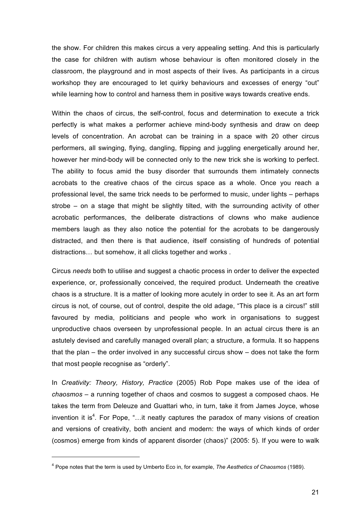the show. For children this makes circus a very appealing setting. And this is particularly the case for children with autism whose behaviour is often monitored closely in the classroom, the playground and in most aspects of their lives. As participants in a circus workshop they are encouraged to let quirky behaviours and excesses of energy "out" while learning how to control and harness them in positive ways towards creative ends.

Within the chaos of circus, the self-control, focus and determination to execute a trick perfectly is what makes a performer achieve mind-body synthesis and draw on deep levels of concentration. An acrobat can be training in a space with 20 other circus performers, all swinging, flying, dangling, flipping and juggling energetically around her, however her mind-body will be connected only to the new trick she is working to perfect. The ability to focus amid the busy disorder that surrounds them intimately connects acrobats to the creative chaos of the circus space as a whole. Once you reach a professional level, the same trick needs to be performed to music, under lights – perhaps strobe – on a stage that might be slightly tilted, with the surrounding activity of other acrobatic performances, the deliberate distractions of clowns who make audience members laugh as they also notice the potential for the acrobats to be dangerously distracted, and then there is that audience, itself consisting of hundreds of potential distractions… but somehow, it all clicks together and works .

Circus *needs* both to utilise and suggest a chaotic process in order to deliver the expected experience, or, professionally conceived, the required product. Underneath the creative chaos is a structure. It is a matter of looking more acutely in order to see it. As an art form circus is not, of course, out of control, despite the old adage, "This place is a circus!" still favoured by media, politicians and people who work in organisations to suggest unproductive chaos overseen by unprofessional people. In an actual circus there is an astutely devised and carefully managed overall plan; a structure, a formula. It so happens that the plan – the order involved in any successful circus show – does not take the form that most people recognise as "orderly".

In *Creativity: Theory, History, Practice* (2005) Rob Pope makes use of the idea of *chaosmos* – a running together of chaos and cosmos to suggest a composed chaos. He takes the term from Deleuze and Guattari who, in turn, take it from James Joyce, whose invention it is<sup>4</sup>. For Pope, "...it neatly captures the paradox of many visions of creation and versions of creativity, both ancient and modern: the ways of which kinds of order (cosmos) emerge from kinds of apparent disorder (chaos)" (2005: 5). If you were to walk

 $\overline{a}$ 

<sup>4</sup> Pope notes that the term is used by Umberto Eco in, for example, *The Aesthetics of Chaosmos* (1989).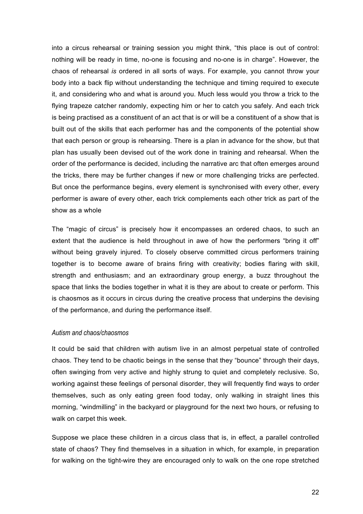into a circus rehearsal or training session you might think, "this place is out of control: nothing will be ready in time, no-one is focusing and no-one is in charge". However, the chaos of rehearsal *is* ordered in all sorts of ways. For example, you cannot throw your body into a back flip without understanding the technique and timing required to execute it, and considering who and what is around you. Much less would you throw a trick to the flying trapeze catcher randomly, expecting him or her to catch you safely. And each trick is being practised as a constituent of an act that is or will be a constituent of a show that is built out of the skills that each performer has and the components of the potential show that each person or group is rehearsing. There is a plan in advance for the show, but that plan has usually been devised out of the work done in training and rehearsal. When the order of the performance is decided, including the narrative arc that often emerges around the tricks, there may be further changes if new or more challenging tricks are perfected. But once the performance begins, every element is synchronised with every other, every performer is aware of every other, each trick complements each other trick as part of the show as a whole

The "magic of circus" is precisely how it encompasses an ordered chaos, to such an extent that the audience is held throughout in awe of how the performers "bring it off" without being gravely injured. To closely observe committed circus performers training together is to become aware of brains firing with creativity; bodies flaring with skill, strength and enthusiasm; and an extraordinary group energy, a buzz throughout the space that links the bodies together in what it is they are about to create or perform. This is chaosmos as it occurs in circus during the creative process that underpins the devising of the performance, and during the performance itself.

### *Autism and chaos/chaosmos*

It could be said that children with autism live in an almost perpetual state of controlled chaos. They tend to be chaotic beings in the sense that they "bounce" through their days, often swinging from very active and highly strung to quiet and completely reclusive. So, working against these feelings of personal disorder, they will frequently find ways to order themselves, such as only eating green food today, only walking in straight lines this morning, "windmilling" in the backyard or playground for the next two hours, or refusing to walk on carpet this week.

Suppose we place these children in a circus class that is, in effect, a parallel controlled state of chaos? They find themselves in a situation in which, for example, in preparation for walking on the tight-wire they are encouraged only to walk on the one rope stretched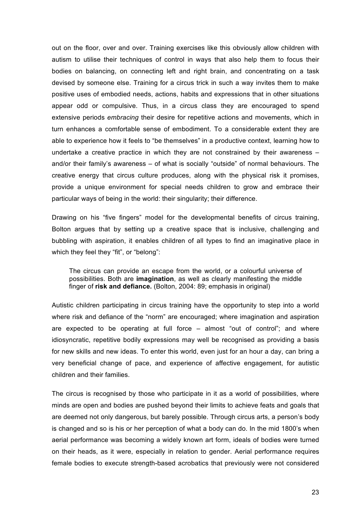out on the floor, over and over. Training exercises like this obviously allow children with autism to utilise their techniques of control in ways that also help them to focus their bodies on balancing, on connecting left and right brain, and concentrating on a task devised by someone else. Training for a circus trick in such a way invites them to make positive uses of embodied needs, actions, habits and expressions that in other situations appear odd or compulsive. Thus, in a circus class they are encouraged to spend extensive periods *embracing* their desire for repetitive actions and movements, which in turn enhances a comfortable sense of embodiment. To a considerable extent they are able to experience how it feels to "be themselves" in a productive context, learning how to undertake a creative practice in which they are not constrained by their awareness – and/or their family's awareness – of what is socially "outside" of normal behaviours. The creative energy that circus culture produces, along with the physical risk it promises, provide a unique environment for special needs children to grow and embrace their particular ways of being in the world: their singularity; their difference.

Drawing on his "five fingers" model for the developmental benefits of circus training, Bolton argues that by setting up a creative space that is inclusive, challenging and bubbling with aspiration, it enables children of all types to find an imaginative place in which they feel they "fit", or "belong":

The circus can provide an escape from the world, or a colourful universe of possibilities. Both are **imagination**, as well as clearly manifesting the middle finger of **risk and defiance.** (Bolton, 2004: 89; emphasis in original)

Autistic children participating in circus training have the opportunity to step into a world where risk and defiance of the "norm" are encouraged; where imagination and aspiration are expected to be operating at full force – almost "out of control"; and where idiosyncratic, repetitive bodily expressions may well be recognised as providing a basis for new skills and new ideas. To enter this world, even just for an hour a day, can bring a very beneficial change of pace, and experience of affective engagement, for autistic children and their families.

The circus is recognised by those who participate in it as a world of possibilities, where minds are open and bodies are pushed beyond their limits to achieve feats and goals that are deemed not only dangerous, but barely possible. Through circus arts, a person's body is changed and so is his or her perception of what a body can do. In the mid 1800's when aerial performance was becoming a widely known art form, ideals of bodies were turned on their heads, as it were, especially in relation to gender. Aerial performance requires female bodies to execute strength-based acrobatics that previously were not considered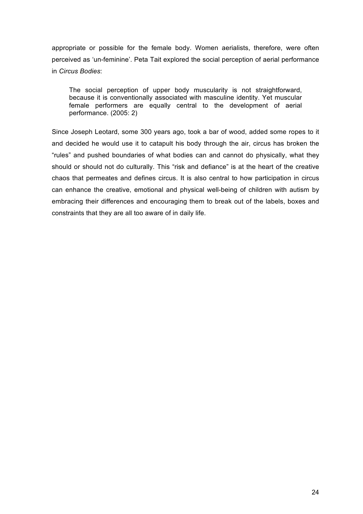appropriate or possible for the female body. Women aerialists, therefore, were often perceived as 'un-feminine'. Peta Tait explored the social perception of aerial performance in *Circus Bodies*:

The social perception of upper body muscularity is not straightforward, because it is conventionally associated with masculine identity. Yet muscular female performers are equally central to the development of aerial performance. (2005: 2)

Since Joseph Leotard, some 300 years ago, took a bar of wood, added some ropes to it and decided he would use it to catapult his body through the air, circus has broken the "rules" and pushed boundaries of what bodies can and cannot do physically, what they should or should not do culturally. This "risk and defiance" is at the heart of the creative chaos that permeates and defines circus. It is also central to how participation in circus can enhance the creative, emotional and physical well-being of children with autism by embracing their differences and encouraging them to break out of the labels, boxes and constraints that they are all too aware of in daily life.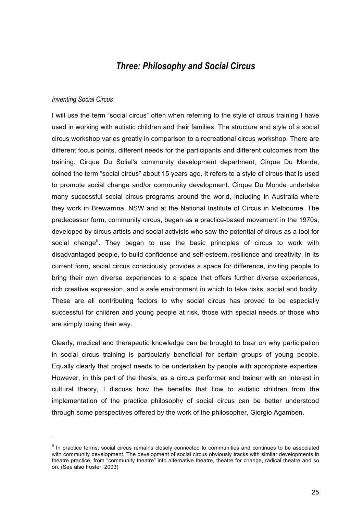# *Three: Philosophy and Social Circus*

### *Inventing Social Circus*

I will use the term "social circus" often when referring to the style of circus training I have used in working with autistic children and their families. The structure and style of a social circus workshop varies greatly in comparison to a recreational circus workshop. There are different focus points, different needs for the participants and different outcomes from the training. Cirque Du Soliel's community development department, Cirque Du Monde, coined the term "social circus" about 15 years ago. It refers to a style of circus that is used to promote social change and/or community development. Cirque Du Monde undertake many successful social circus programs around the world, including in Australia where they work in Brewarrina, NSW and at the National Institute of Circus in Melbourne. The predecessor form, community circus, began as a practice-based movement in the 1970s, developed by circus artists and social activists who saw the potential of circus as a tool for social change<sup>5</sup>. They began to use the basic principles of circus to work with disadvantaged people, to build confidence and self-esteem, resilience and creativity. In its current form, social circus consciously provides a space for difference, inviting people to bring their own diverse experiences to a space that offers further diverse experiences, rich creative expression, and a safe environment in which to take risks, social and bodily. These are all contributing factors to why social circus has proved to be especially successful for children and young people at risk, those with special needs or those who are simply losing their way.

Clearly, medical and therapeutic knowledge can be brought to bear on why participation in social circus training is particularly beneficial for certain groups of young people. Equally clearly that project needs to be undertaken by people with appropriate expertise. However, in this part of the thesis, as a circus performer and trainer with an interest in cultural theory, I discuss how the benefits that flow to autistic children from the implementation of the practice philosophy of social circus can be better understood through some perspectives offered by the work of the philosopher, Giorgio Agamben.

<sup>&</sup>lt;sup>5</sup> In practice terms, social circus remains closely connected to communities and continues to be associated with community development. The development of social circus obviously tracks with similar developments in theatre practice, from "community theatre" into alternative theatre, theatre for change, radical theatre and so on. (See also Foster, 2003)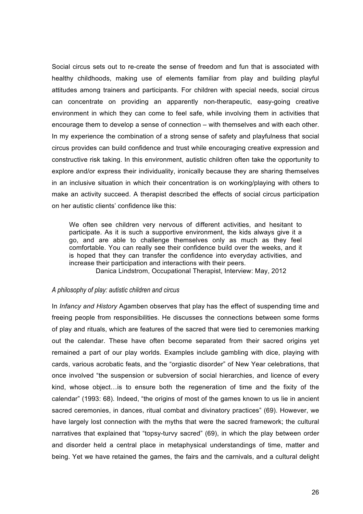Social circus sets out to re-create the sense of freedom and fun that is associated with healthy childhoods, making use of elements familiar from play and building playful attitudes among trainers and participants. For children with special needs, social circus can concentrate on providing an apparently non-therapeutic, easy-going creative environment in which they can come to feel safe, while involving them in activities that encourage them to develop a sense of connection – with themselves and with each other. In my experience the combination of a strong sense of safety and playfulness that social circus provides can build confidence and trust while encouraging creative expression and constructive risk taking. In this environment, autistic children often take the opportunity to explore and/or express their individuality, ironically because they are sharing themselves in an inclusive situation in which their concentration is on working/playing with others to make an activity succeed. A therapist described the effects of social circus participation on her autistic clients' confidence like this:

We often see children very nervous of different activities, and hesitant to participate. As it is such a supportive environment, the kids always give it a go, and are able to challenge themselves only as much as they feel comfortable. You can really see their confidence build over the weeks, and it is hoped that they can transfer the confidence into everyday activities, and increase their participation and interactions with their peers.

Danica Lindstrom, Occupational Therapist, Interview: May, 2012

### *A philosophy of play: autistic children and circus*

In *Infancy and History* Agamben observes that play has the effect of suspending time and freeing people from responsibilities. He discusses the connections between some forms of play and rituals, which are features of the sacred that were tied to ceremonies marking out the calendar. These have often become separated from their sacred origins yet remained a part of our play worlds. Examples include gambling with dice, playing with cards, various acrobatic feats, and the "orgiastic disorder" of New Year celebrations, that once involved "the suspension or subversion of social hierarchies, and licence of every kind, whose object…is to ensure both the regeneration of time and the fixity of the calendar" (1993: 68). Indeed, "the origins of most of the games known to us lie in ancient sacred ceremonies, in dances, ritual combat and divinatory practices" (69). However, we have largely lost connection with the myths that were the sacred framework; the cultural narratives that explained that "topsy-turvy sacred" (69), in which the play between order and disorder held a central place in metaphysical understandings of time, matter and being. Yet we have retained the games, the fairs and the carnivals, and a cultural delight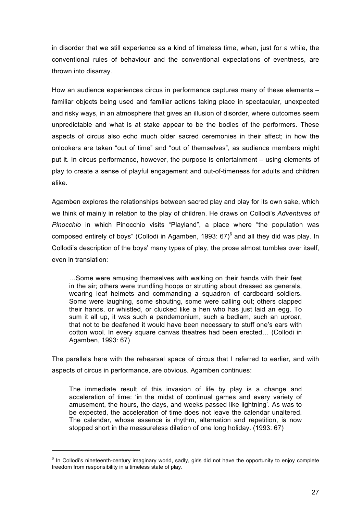in disorder that we still experience as a kind of timeless time, when, just for a while, the conventional rules of behaviour and the conventional expectations of eventness, are thrown into disarray.

How an audience experiences circus in performance captures many of these elements – familiar objects being used and familiar actions taking place in spectacular, unexpected and risky ways, in an atmosphere that gives an illusion of disorder, where outcomes seem unpredictable and what is at stake appear to be the bodies of the performers. These aspects of circus also echo much older sacred ceremonies in their affect; in how the onlookers are taken "out of time" and "out of themselves", as audience members might put it. In circus performance, however, the purpose is entertainment – using elements of play to create a sense of playful engagement and out-of-timeness for adults and children alike.

Agamben explores the relationships between sacred play and play for its own sake, which we think of mainly in relation to the play of children. He draws on Collodi's *Adventures of Pinocchio* in which Pinocchio visits "Playland", a place where "the population was composed entirely of boys" (Collodi in Agamben, 1993: 67) $^6$  and all they did was play. In Collodi's description of the boys' many types of play, the prose almost tumbles over itself, even in translation:

…Some were amusing themselves with walking on their hands with their feet in the air; others were trundling hoops or strutting about dressed as generals, wearing leaf helmets and commanding a squadron of cardboard soldiers. Some were laughing, some shouting, some were calling out; others clapped their hands, or whistled, or clucked like a hen who has just laid an egg. To sum it all up, it was such a pandemonium, such a bedlam, such an uproar, that not to be deafened it would have been necessary to stuff one's ears with cotton wool. In every square canvas theatres had been erected… (Collodi in Agamben, 1993: 67)

The parallels here with the rehearsal space of circus that I referred to earlier, and with aspects of circus in performance, are obvious. Agamben continues:

The immediate result of this invasion of life by play is a change and acceleration of time: 'in the midst of continual games and every variety of amusement, the hours, the days, and weeks passed like lightning'. As was to be expected, the acceleration of time does not leave the calendar unaltered. The calendar, whose essence is rhythm, alternation and repetition, is now stopped short in the measureless dilation of one long holiday. (1993: 67)

 $<sup>6</sup>$  In Collodi's nineteenth-century imaginary world, sadly, girls did not have the opportunity to enjoy complete</sup> freedom from responsibility in a timeless state of play.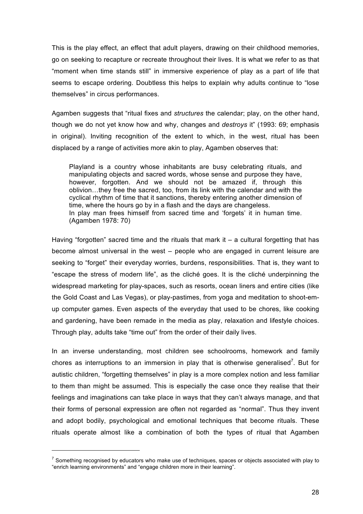This is the play effect, an effect that adult players, drawing on their childhood memories, go on seeking to recapture or recreate throughout their lives. It is what we refer to as that "moment when time stands still" in immersive experience of play as a part of life that seems to escape ordering. Doubtless this helps to explain why adults continue to "lose themselves" in circus performances.

Agamben suggests that "ritual fixes and *structures* the calendar; play, on the other hand, though we do not yet know how and why, changes and *destroys* it" (1993: 69; emphasis in original). Inviting recognition of the extent to which, in the west, ritual has been displaced by a range of activities more akin to play, Agamben observes that:

Playland is a country whose inhabitants are busy celebrating rituals, and manipulating objects and sacred words, whose sense and purpose they have, however, forgotten. And we should not be amazed if, through this oblivion…they free the sacred, too, from its link with the calendar and with the cyclical rhythm of time that it sanctions, thereby entering another dimension of time, where the hours go by in a flash and the days are changeless. In play man frees himself from sacred time and 'forgets' it in human time. (Agamben 1978: 70)

Having "forgotten" sacred time and the rituals that mark it  $-$  a cultural forgetting that has become almost universal in the west – people who are engaged in current leisure are seeking to "forget" their everyday worries, burdens, responsibilities. That is, they want to "escape the stress of modern life", as the cliché goes. It is the cliché underpinning the widespread marketing for play-spaces, such as resorts, ocean liners and entire cities (like the Gold Coast and Las Vegas), or play-pastimes, from yoga and meditation to shoot-emup computer games. Even aspects of the everyday that used to be chores, like cooking and gardening, have been remade in the media as play, relaxation and lifestyle choices. Through play, adults take "time out" from the order of their daily lives.

In an inverse understanding, most children see schoolrooms, homework and family chores as interruptions to an immersion in play that is otherwise generalised<sup>7</sup>. But for autistic children, "forgetting themselves" in play is a more complex notion and less familiar to them than might be assumed. This is especially the case once they realise that their feelings and imaginations can take place in ways that they can't always manage, and that their forms of personal expression are often not regarded as "normal". Thus they invent and adopt bodily, psychological and emotional techniques that become rituals. These rituals operate almost like a combination of both the types of ritual that Agamben

 $^7$  Something recognised by educators who make use of techniques, spaces or objects associated with play to "enrich learning environments" and "engage children more in their learning".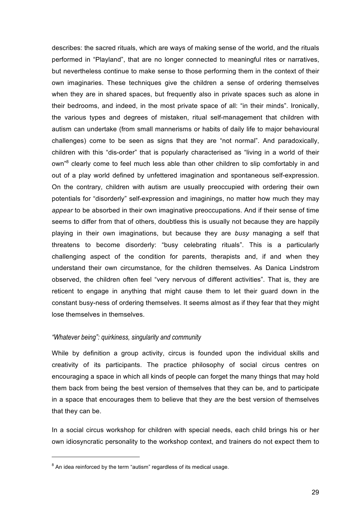describes: the sacred rituals, which are ways of making sense of the world, and the rituals performed in "Playland", that are no longer connected to meaningful rites or narratives, but nevertheless continue to make sense to those performing them in the context of their own imaginaries. These techniques give the children a sense of ordering themselves when they are in shared spaces, but frequently also in private spaces such as alone in their bedrooms, and indeed, in the most private space of all: "in their minds". Ironically, the various types and degrees of mistaken, ritual self-management that children with autism can undertake (from small mannerisms or habits of daily life to major behavioural challenges) come to be seen as signs that they are "not normal". And paradoxically, children with this "dis-order" that is popularly characterised as "living in a world of their own<sup>"8</sup> clearly come to feel much less able than other children to slip comfortably in and out of a play world defined by unfettered imagination and spontaneous self-expression. On the contrary, children with autism are usually preoccupied with ordering their own potentials for "disorderly" self-expression and imaginings, no matter how much they may *appear* to be absorbed in their own imaginative preoccupations. And if their sense of time seems to differ from that of others, doubtless this is usually not because they are happily playing in their own imaginations, but because they are *busy* managing a self that threatens to become disorderly: "busy celebrating rituals". This is a particularly challenging aspect of the condition for parents, therapists and, if and when they understand their own circumstance, for the children themselves. As Danica Lindstrom observed, the children often feel "very nervous of different activities". That is, they are reticent to engage in anything that might cause them to let their guard down in the constant busy-ness of ordering themselves. It seems almost as if they fear that they might lose themselves in themselves.

### *"Whatever being": quirkiness, singularity and community*

While by definition a group activity, circus is founded upon the individual skills and creativity of its participants. The practice philosophy of social circus centres on encouraging a space in which all kinds of people can forget the many things that may hold them back from being the best version of themselves that they can be, and to participate in a space that encourages them to believe that they *are* the best version of themselves that they can be.

In a social circus workshop for children with special needs, each child brings his or her own idiosyncratic personality to the workshop context, and trainers do not expect them to

 $\overline{a}$ 

 $8$  An idea reinforced by the term "autism" regardless of its medical usage.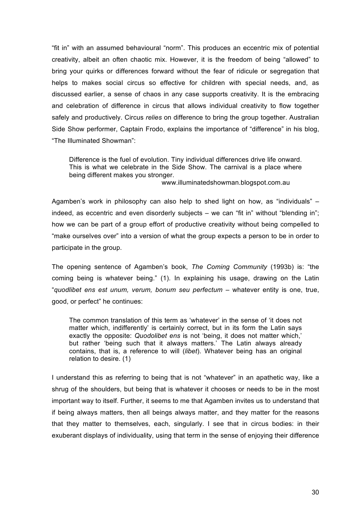"fit in" with an assumed behavioural "norm". This produces an eccentric mix of potential creativity, albeit an often chaotic mix. However, it is the freedom of being "allowed" to bring your quirks or differences forward without the fear of ridicule or segregation that helps to makes social circus so effective for children with special needs, and, as discussed earlier, a sense of chaos in any case supports creativity. It is the embracing and celebration of difference in circus that allows individual creativity to flow together safely and productively. Circus *relies* on difference to bring the group together. Australian Side Show performer, Captain Frodo, explains the importance of "difference" in his blog, "The Illuminated Showman":

Difference is the fuel of evolution. Tiny individual differences drive life onward. This is what we celebrate in the Side Show. The carnival is a place where being different makes you stronger.

www.illuminatedshowman.blogspot.com.au

Agamben's work in philosophy can also help to shed light on how, as "individuals" – indeed, as eccentric and even disorderly subjects – we can "fit in" without "blending in"; how we can be part of a group effort of productive creativity without being compelled to "make ourselves over" into a version of what the group expects a person to be in order to participate in the group.

The opening sentence of Agamben's book, *The Coming Community* (1993b) is: "the coming being is whatever being." (1). In explaining his usage, drawing on the Latin "*quodlibet ens est unum, verum, bonum seu perfectum* – whatever entity is one, true, good, or perfect" he continues:

The common translation of this term as 'whatever' in the sense of 'it does not matter which, indifferently' is certainly correct, but in its form the Latin says exactly the opposite: *Quodolibet ens* is not 'being, it does not matter which,' but rather 'being such that it always matters.' The Latin always already contains, that is, a reference to will (*libet*). Whatever being has an original relation to desire. (1)

I understand this as referring to being that is not "whatever" in an apathetic way, like a shrug of the shoulders, but being that is whatever it chooses or needs to be in the most important way to itself. Further, it seems to me that Agamben invites us to understand that if being always matters, then all beings always matter, and they matter for the reasons that they matter to themselves, each, singularly. I see that in circus bodies: in their exuberant displays of individuality, using that term in the sense of enjoying their difference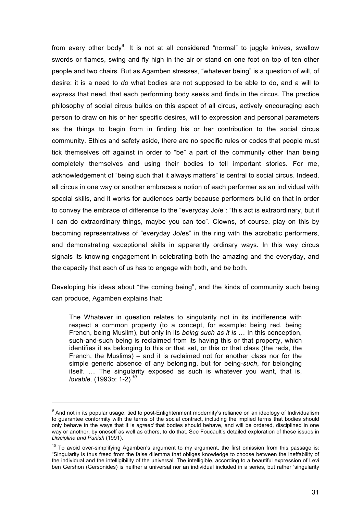from every other body<sup>9</sup>. It is not at all considered "normal" to juggle knives, swallow swords or flames, swing and fly high in the air or stand on one foot on top of ten other people and two chairs. But as Agamben stresses, "whatever being" is a question of will, of desire: it is a need to *do* what bodies are not supposed to be able to do, and a will to *express* that need, that each performing body seeks and finds in the circus. The practice philosophy of social circus builds on this aspect of all circus, actively encouraging each person to draw on his or her specific desires, will to expression and personal parameters as the things to begin from in finding his or her contribution to the social circus community. Ethics and safety aside, there are no specific rules or codes that people must tick themselves off against in order to "be" a part of the community other than being completely themselves and using their bodies to tell important stories. For me, acknowledgement of "being such that it always matters" is central to social circus. Indeed, all circus in one way or another embraces a notion of each performer as an individual with special skills, and it works for audiences partly because performers build on that in order to convey the embrace of difference to the "everyday Jo/e": "this act is extraordinary, but if I can do extraordinary things, maybe you can too". Clowns, of course, play on this by becoming representatives of "everyday Jo/es" in the ring with the acrobatic performers, and demonstrating exceptional skills in apparently ordinary ways. In this way circus signals its knowing engagement in celebrating both the amazing and the everyday, and the capacity that each of us has to engage with both, and *be* both.

Developing his ideas about "the coming being", and the kinds of community such being can produce, Agamben explains that:

The Whatever in question relates to singularity not in its indifference with respect a common property (to a concept, for example: being red, being French, being Muslim), but only in its *being such as it is* … In this conception, such-and-such being is reclaimed from its having this or that property, which identifies it as belonging to this or that set, or this or that class (the reds, the French, the Muslims) – and it is reclaimed not for another class nor for the simple generic absence of any belonging, but for being-*such*, for belonging itself. … The singularity exposed as such is whatever you want, that is, *lovable*. (1993b: 1-2) *<sup>10</sup>*

 $\overline{a}$ 

 $9$  And not in its popular usage, tied to post-Enlightenment modernity's reliance on an ideology of Individualism to guarantee conformity with the terms of the social contract, including the implied terms that bodies should only behave in the ways that it is *agreed* that bodies should behave, and will be ordered, disciplined in one way or another, by oneself as well as others, to do that. See Foucault's detailed exploration of these issues in *Discipline and Punish* (1991).

 $10$  To avoid over-simplifying Agamben's argument to my argument, the first omission from this passage is: "Singularity is thus freed from the false dilemma that obliges knowledge to choose between the ineffability of the individual and the intelligibility of the universal. The intelligible, according to a beautiful expression of Levi ben Gershon (Gersonides) is neither a universal nor an individual included in a series, but rather 'singularity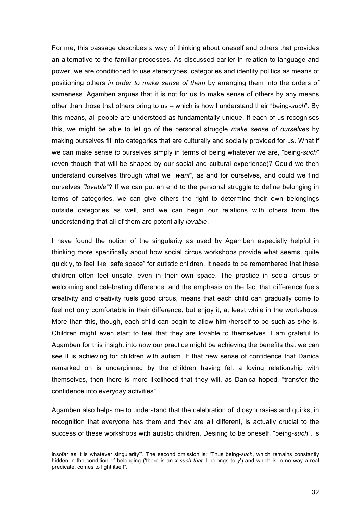For me, this passage describes a way of thinking about oneself and others that provides an alternative to the familiar processes. As discussed earlier in relation to language and power, we are conditioned to use stereotypes, categories and identity politics as means of positioning others *in order to make sense of them* by arranging them into the orders of sameness. Agamben argues that it is not for us to make sense of others by any means other than those that others bring to us – which is how I understand their "being-*such*". By this means, all people are understood as fundamentally unique. If each of us recognises this, we might be able to let go of the personal struggle *make sense of ourselves* by making ourselves fit into categories that are culturally and socially provided for us. What if we can make sense *to* ourselves simply in terms of being whatever we are, "being-*such*" (even though that will be shaped by our social and cultural experience)? Could we then understand ourselves through what we "*want*", as and for ourselves, and could we find ourselves *"lovable"*? If we can put an end to the personal struggle to define belonging in terms of categories, we can give others the right to determine their own belongings outside categories as well, and we can begin our relations with others from the understanding that all of them are potentially *lovable*.

I have found the notion of the singularity as used by Agamben especially helpful in thinking more specifically about how social circus workshops provide what seems, quite quickly, to feel like "safe space" for autistic children. It needs to be remembered that these children often feel unsafe, even in their own space. The practice in social circus of welcoming and celebrating difference, and the emphasis on the fact that difference fuels creativity and creativity fuels good circus, means that each child can gradually come to feel not only comfortable in their difference, but enjoy it, at least while in the workshops. More than this, though, each child can begin to allow him-/herself to be such as s/he is. Children might even start to feel that they are lovable to themselves. I am grateful to Agamben for this insight into *how* our practice might be achieving the benefits that we can see it is achieving for children with autism. If that new sense of confidence that Danica remarked on is underpinned by the children having felt a loving relationship with themselves, then there is more likelihood that they will, as Danica hoped, "transfer the confidence into everyday activities"

Agamben also helps me to understand that the celebration of idiosyncrasies and quirks, in recognition that everyone has them and they are all different, is actually crucial to the success of these workshops with autistic children. Desiring to be oneself, "being-*such*", is

1

insofar as it is whatever singularity'". The second omission is: "Thus being-*such*, which remains constantly hidden in the condition of belonging ('there is an *x such that* it belongs to *y*') and which is in no way a real predicate, comes to light itself".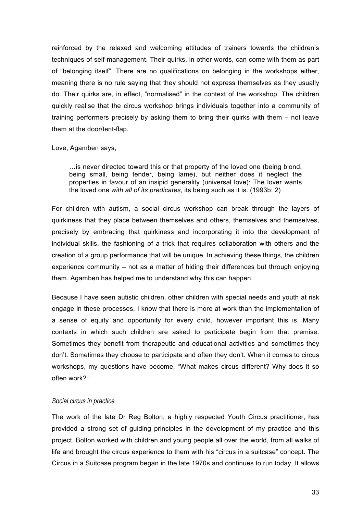reinforced by the relaxed and welcoming attitudes of trainers towards the children's techniques of self-management. Their quirks, in other words, can come with them as part of "belonging itself". There are no qualifications on belonging in the workshops either, meaning there is no rule saying that they should not express themselves as they usually do. Their quirks are, in effect, "normalised" in the context of the workshop. The children quickly realise that the circus workshop brings individuals together into a community of training performers precisely by asking them to bring their quirks with them – not leave them at the door/tent-flap.

#### Love, Agamben says,

…is never directed toward this or that property of the loved one (being blond, being small, being tender, being lame), but neither does it neglect the properties in favour of an insipid generality (universal love): The lover wants the loved one *with all of its predicates*, its being such as it is. (1993b: 2)

For children with autism, a social circus workshop can break through the layers of quirkiness that they place between themselves and others, themselves and themselves, precisely by embracing that quirkiness and incorporating it into the development of individual skills, the fashioning of a trick that requires collaboration with others and the creation of a group performance that will be unique. In achieving these things, the children experience community – not as a matter of hiding their differences but through enjoying them. Agamben has helped me to understand why this can happen.

Because I have seen autistic children, other children with special needs and youth at risk engage in these processes, I know that there is more at work than the implementation of a sense of equity and opportunity for every child, however important this is. Many contexts in which such children are asked to participate begin from that premise. Sometimes they benefit from therapeutic and educational activities and sometimes they don't. Sometimes they choose to participate and often they don't. When it comes to circus workshops, my questions have become, "What makes circus different? Why does it so often work?"

### *Social circus in practice*

The work of the late Dr Reg Bolton, a highly respected Youth Circus practitioner, has provided a strong set of guiding principles in the development of my practice and this project. Bolton worked with children and young people all over the world, from all walks of life and brought the circus experience to them with his "circus in a suitcase" concept. The Circus in a Suitcase program began in the late 1970s and continues to run today. It allows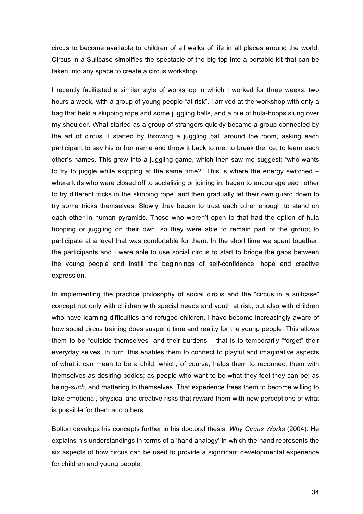circus to become available to children of all walks of life in all places around the world. Circus in a Suitcase simplifies the spectacle of the big top into a portable kit that can be taken into any space to create a circus workshop.

I recently facilitated a similar style of workshop in which I worked for three weeks, two hours a week, with a group of young people "at risk". I arrived at the workshop with only a bag that held a skipping rope and some juggling balls, and a pile of hula-hoops slung over my shoulder. What started as a group of strangers quickly became a group connected by the art of circus. I started by throwing a juggling ball around the room, asking each participant to say his or her name and throw it back to me: to break the ice; to learn each other's names. This grew into a juggling game, which then saw me suggest: "who wants to try to juggle while skipping at the same time?" This is where the energy switched – where kids who were closed off to socialising or joining in, began to encourage each other to try different tricks in the skipping rope, and then gradually let their own guard down to try some tricks themselves. Slowly they began to trust each other enough to stand on each other in human pyramids. Those who weren't open to that had the option of hula hooping or juggling on their own, so they were able to remain part of the group; to participate at a level that was comfortable for them. In the short time we spent together, the participants and I were able to use social circus to start to bridge the gaps between the young people and instill the beginnings of self-confidence, hope and creative expression.

In implementing the practice philosophy of social circus and the "circus in a suitcase" concept not only with children with special needs and youth at risk, but also with children who have learning difficulties and refugee children, I have become increasingly aware of how social circus training does suspend time and reality for the young people. This allows them to be "outside themselves" and their burdens – that is to temporarily "forget" their everyday selves. In turn, this enables them to connect to playful and imaginative aspects of what it can mean to be a child, which, of course, helps them to reconnect them with themselves as desiring bodies; as people who want to be what they feel they can be; as being*-such*, and mattering to themselves. That experience frees them to become willing to take emotional, physical and creative risks that reward them with new perceptions of what is possible for them and others.

Bolton develops his concepts further in his doctoral thesis, *Why Circus Works* (2004). He explains his understandings in terms of a 'hand analogy' in which the hand represents the six aspects of how circus can be used to provide a significant developmental experience for children and young people: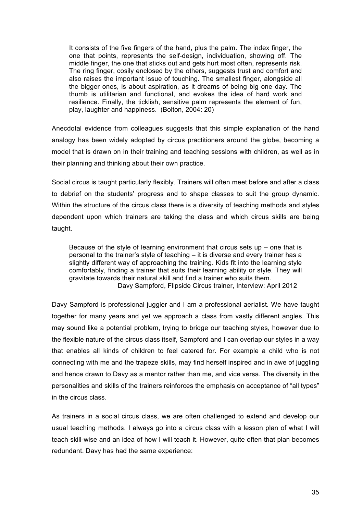It consists of the five fingers of the hand, plus the palm. The index finger, the one that points, represents the self-design, individuation, showing off. The middle finger, the one that sticks out and gets hurt most often, represents risk. The ring finger, cosily enclosed by the others, suggests trust and comfort and also raises the important issue of touching. The smallest finger, alongside all the bigger ones, is about aspiration, as it dreams of being big one day. The thumb is utilitarian and functional, and evokes the idea of hard work and resilience. Finally, the ticklish, sensitive palm represents the element of fun, play, laughter and happiness. (Bolton, 2004: 20)

Anecdotal evidence from colleagues suggests that this simple explanation of the hand analogy has been widely adopted by circus practitioners around the globe, becoming a model that is drawn on in their training and teaching sessions with children, as well as in their planning and thinking about their own practice.

Social circus is taught particularly flexibly. Trainers will often meet before and after a class to debrief on the students' progress and to shape classes to suit the group dynamic. Within the structure of the circus class there is a diversity of teaching methods and styles dependent upon which trainers are taking the class and which circus skills are being taught.

Because of the style of learning environment that circus sets  $up$  – one that is personal to the trainer's style of teaching – it is diverse and every trainer has a slightly different way of approaching the training. Kids fit into the learning style comfortably, finding a trainer that suits their learning ability or style. They will gravitate towards their natural skill and find a trainer who suits them. Davy Sampford, Flipside Circus trainer, Interview: April 2012

Davy Sampford is professional juggler and I am a professional aerialist. We have taught together for many years and yet we approach a class from vastly different angles. This may sound like a potential problem, trying to bridge our teaching styles, however due to the flexible nature of the circus class itself, Sampford and I can overlap our styles in a way that enables all kinds of children to feel catered for. For example a child who is not connecting with me and the trapeze skills, may find herself inspired and in awe of juggling and hence drawn to Davy as a mentor rather than me, and vice versa. The diversity in the personalities and skills of the trainers reinforces the emphasis on acceptance of "all types" in the circus class.

As trainers in a social circus class, we are often challenged to extend and develop our usual teaching methods. I always go into a circus class with a lesson plan of what I will teach skill-wise and an idea of how I will teach it. However, quite often that plan becomes redundant. Davy has had the same experience: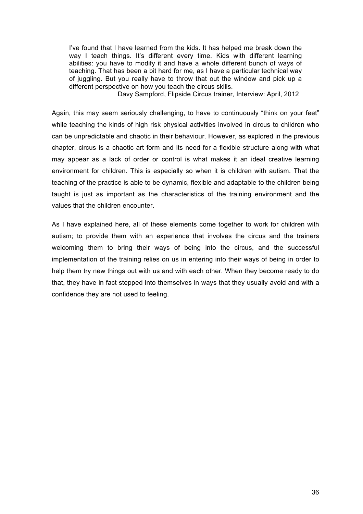I've found that I have learned from the kids. It has helped me break down the way I teach things. It's different every time. Kids with different learning abilities: you have to modify it and have a whole different bunch of ways of teaching. That has been a bit hard for me, as I have a particular technical way of juggling. But you really have to throw that out the window and pick up a different perspective on how you teach the circus skills.

Davy Sampford, Flipside Circus trainer, Interview: April, 2012

Again, this may seem seriously challenging, to have to continuously "think on your feet" while teaching the kinds of high risk physical activities involved in circus to children who can be unpredictable and chaotic in their behaviour. However, as explored in the previous chapter, circus is a chaotic art form and its need for a flexible structure along with what may appear as a lack of order or control is what makes it an ideal creative learning environment for children. This is especially so when it is children with autism. That the teaching of the practice is able to be dynamic, flexible and adaptable to the children being taught is just as important as the characteristics of the training environment and the values that the children encounter.

As I have explained here, all of these elements come together to work for children with autism; to provide them with an experience that involves the circus and the trainers welcoming them to bring their ways of being into the circus, and the successful implementation of the training relies on us in entering into their ways of being in order to help them try new things out with us and with each other. When they become ready to do that, they have in fact stepped into themselves in ways that they usually avoid and with a confidence they are not used to feeling.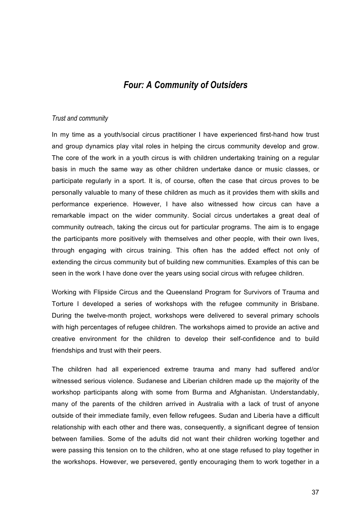# *Four: A Community of Outsiders*

### *Trust and community*

In my time as a youth/social circus practitioner I have experienced first-hand how trust and group dynamics play vital roles in helping the circus community develop and grow. The core of the work in a youth circus is with children undertaking training on a regular basis in much the same way as other children undertake dance or music classes, or participate regularly in a sport. It is, of course, often the case that circus proves to be personally valuable to many of these children as much as it provides them with skills and performance experience. However, I have also witnessed how circus can have a remarkable impact on the wider community. Social circus undertakes a great deal of community outreach, taking the circus out for particular programs. The aim is to engage the participants more positively with themselves and other people, with their own lives, through engaging with circus training. This often has the added effect not only of extending the circus community but of building new communities. Examples of this can be seen in the work I have done over the years using social circus with refugee children.

Working with Flipside Circus and the Queensland Program for Survivors of Trauma and Torture I developed a series of workshops with the refugee community in Brisbane. During the twelve-month project, workshops were delivered to several primary schools with high percentages of refugee children. The workshops aimed to provide an active and creative environment for the children to develop their self-confidence and to build friendships and trust with their peers.

The children had all experienced extreme trauma and many had suffered and/or witnessed serious violence. Sudanese and Liberian children made up the majority of the workshop participants along with some from Burma and Afghanistan. Understandably, many of the parents of the children arrived in Australia with a lack of trust of anyone outside of their immediate family, even fellow refugees. Sudan and Liberia have a difficult relationship with each other and there was, consequently, a significant degree of tension between families. Some of the adults did not want their children working together and were passing this tension on to the children, who at one stage refused to play together in the workshops. However, we persevered, gently encouraging them to work together in a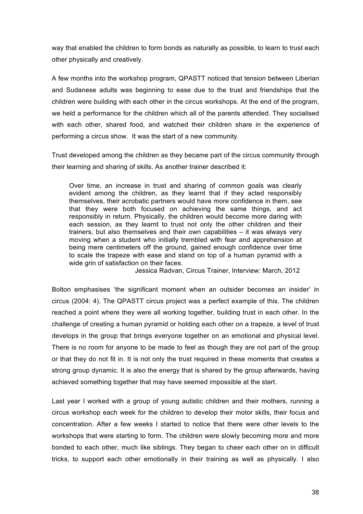way that enabled the children to form bonds as naturally as possible, to learn to trust each other physically and creatively.

A few months into the workshop program, QPASTT noticed that tension between Liberian and Sudanese adults was beginning to ease due to the trust and friendships that the children were building with each other in the circus workshops. At the end of the program, we held a performance for the children which all of the parents attended. They socialised with each other, shared food, and watched their children share in the experience of performing a circus show. It was the start of a new community.

Trust developed among the children as they became part of the circus community through their learning and sharing of skills. As another trainer described it:

Over time, an increase in trust and sharing of common goals was clearly evident among the children, as they learnt that if they acted responsibly themselves, their acrobatic partners would have more confidence in them, see that they were both focused on achieving the same things, and act responsibly in return. Physically, the children would become more daring with each session, as they learnt to trust not only the other children and their trainers, but also themselves and their own capabilities – it was always very moving when a student who initially trembled with fear and apprehension at being mere centimeters off the ground, gained enough confidence over time to scale the trapeze with ease and stand on top of a human pyramid with a wide grin of satisfaction on their faces.

Jessica Radvan, Circus Trainer, Interview: March, 2012

Bolton emphasises 'the significant moment when an outsider becomes an insider' in circus (2004: 4). The QPASTT circus project was a perfect example of this. The children reached a point where they were all working together, building trust in each other. In the challenge of creating a human pyramid or holding each other on a trapeze, a level of trust develops in the group that brings everyone together on an emotional and physical level. There is no room for anyone to be made to feel as though they are not part of the group or that they do not fit in. It is not only the trust required in these moments that creates a strong group dynamic. It is also the energy that is shared by the group afterwards, having achieved something together that may have seemed impossible at the start.

Last year I worked with a group of young autistic children and their mothers, running a circus workshop each week for the children to develop their motor skills, their focus and concentration. After a few weeks I started to notice that there were other levels to the workshops that were starting to form. The children were slowly becoming more and more bonded to each other, much like siblings. They began to cheer each other on in difficult tricks, to support each other emotionally in their training as well as physically. I also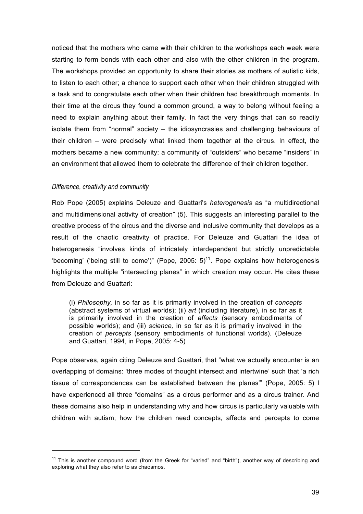noticed that the mothers who came with their children to the workshops each week were starting to form bonds with each other and also with the other children in the program. The workshops provided an opportunity to share their stories as mothers of autistic kids, to listen to each other; a chance to support each other when their children struggled with a task and to congratulate each other when their children had breakthrough moments. In their time at the circus they found a common ground, a way to belong without feeling a need to explain anything about their family. In fact the very things that can so readily isolate them from "normal" society – the idiosyncrasies and challenging behaviours of their children – were precisely what linked them together at the circus. In effect, the mothers became a new community: a community of "outsiders" who became "insiders" in an environment that allowed them to celebrate the difference of their children together.

### *Difference, creativity and community*

Rob Pope (2005) explains Deleuze and Guattari's *heterogenesis* as "a multidirectional and multidimensional activity of creation" (5). This suggests an interesting parallel to the creative process of the circus and the diverse and inclusive community that develops as a result of the chaotic creativity of practice. For Deleuze and Guattari the idea of heterogenesis "involves kinds of intricately interdependent but strictly unpredictable 'becoming' ('being still to come')" (Pope, 2005:  $5$ )<sup>11</sup>. Pope explains how heterogenesis highlights the multiple "intersecting planes" in which creation may occur. He cites these from Deleuze and Guattari:

(i) *Philosophy,* in so far as it is primarily involved in the creation of *concepts*  (abstract systems of virtual worlds); (ii) *art* (including literature), in so far as it is primarily involved in the creation of *affects* (sensory embodiments of possible worlds); and (iii) *science,* in so far as it is primarily involved in the creation of *percepts* (sensory embodiments of functional worlds). (Deleuze and Guattari, 1994, in Pope, 2005: 4-5)

Pope observes, again citing Deleuze and Guattari, that "what we actually encounter is an overlapping of domains: 'three modes of thought intersect and intertwine' such that 'a rich tissue of correspondences can be established between the planes'" (Pope, 2005: 5) I have experienced all three "domains" as a circus performer and as a circus trainer. And these domains also help in understanding why and how circus is particularly valuable with children with autism; how the children need concepts, affects and percepts to come

<sup>&</sup>lt;sup>11</sup> This is another compound word (from the Greek for "varied" and "birth"), another way of describing and exploring what they also refer to as chaosmos.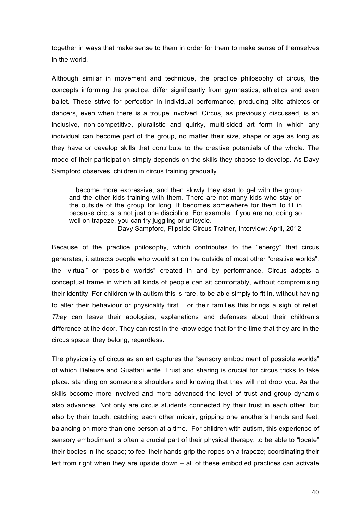together in ways that make sense to them in order for them to make sense of themselves in the world.

Although similar in movement and technique, the practice philosophy of circus, the concepts informing the practice, differ significantly from gymnastics, athletics and even ballet. These strive for perfection in individual performance, producing elite athletes or dancers, even when there is a troupe involved. Circus, as previously discussed, is an inclusive, non-competitive, pluralistic and quirky, multi-sided art form in which any individual can become part of the group, no matter their size, shape or age as long as they have or develop skills that contribute to the creative potentials of the whole. The mode of their participation simply depends on the skills they choose to develop. As Davy Sampford observes, children in circus training gradually

…become more expressive, and then slowly they start to gel with the group and the other kids training with them. There are not many kids who stay on the outside of the group for long. It becomes somewhere for them to fit in because circus is not just one discipline. For example, if you are not doing so well on trapeze, you can try juggling or unicycle.

Davy Sampford, Flipside Circus Trainer, Interview: April, 2012

Because of the practice philosophy, which contributes to the "energy" that circus generates, it attracts people who would sit on the outside of most other "creative worlds", the "virtual" or "possible worlds" created in and by performance. Circus adopts a conceptual frame in which all kinds of people can sit comfortably, without compromising their identity. For children with autism this is rare, to be able simply to fit in, without having to alter their behaviour or physicality first. For their families this brings a sigh of relief. *They* can leave their apologies, explanations and defenses about their children's difference at the door. They can rest in the knowledge that for the time that they are in the circus space, they belong, regardless.

The physicality of circus as an art captures the "sensory embodiment of possible worlds" of which Deleuze and Guattari write. Trust and sharing is crucial for circus tricks to take place: standing on someone's shoulders and knowing that they will not drop you. As the skills become more involved and more advanced the level of trust and group dynamic also advances. Not only are circus students connected by their trust in each other, but also by their touch: catching each other midair; gripping one another's hands and feet; balancing on more than one person at a time. For children with autism, this experience of sensory embodiment is often a crucial part of their physical therapy: to be able to "locate" their bodies in the space; to feel their hands grip the ropes on a trapeze; coordinating their left from right when they are upside down – all of these embodied practices can activate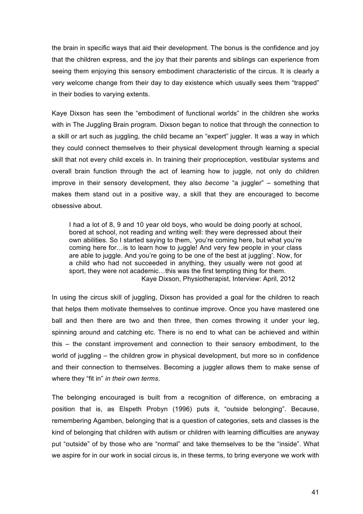the brain in specific ways that aid their development. The bonus is the confidence and joy that the children express, and the joy that their parents and siblings can experience from seeing them enjoying this sensory embodiment characteristic of the circus. It is clearly a very welcome change from their day to day existence which usually sees them "trapped" in their bodies to varying extents.

Kaye Dixson has seen the "embodiment of functional worlds" in the children she works with in The Juggling Brain program. Dixson began to notice that through the connection to a skill or art such as juggling, the child became an "expert" juggler. It was a way in which they could connect themselves to their physical development through learning a special skill that not every child excels in. In training their proprioception, vestibular systems and overall brain function through the act of learning how to juggle, not only do children improve in their sensory development, they also *become* "a juggler" – something that makes them stand out in a positive way, a skill that they are encouraged to become obsessive about.

I had a lot of 8, 9 and 10 year old boys, who would be doing poorly at school, bored at school, not reading and writing well: they were depressed about their own abilities. So I started saying to them, 'you're coming here, but what you're coming here for…is to learn how to juggle! And very few people in your class are able to juggle. And you're going to be one of the best at juggling'. Now, for a child who had not succeeded in anything, they usually were not good at sport, they were not academic…this was the first tempting thing for them. Kaye Dixson, Physiotherapist, Interview: April, 2012

In using the circus skill of juggling, Dixson has provided a goal for the children to reach that helps them motivate themselves to continue improve. Once you have mastered one ball and then there are two and then three, then comes throwing it under your leg, spinning around and catching etc. There is no end to what can be achieved and within this – the constant improvement and connection to their sensory embodiment, to the world of juggling – the children grow in physical development, but more so in confidence and their connection to themselves. Becoming a juggler allows them to make sense of where they "fit in" *in their own terms*.

The belonging encouraged is built from a recognition of difference, on embracing a position that is, as Elspeth Probyn (1996) puts it, "outside belonging". Because, remembering Agamben, belonging that is a question of categories, sets and classes is the kind of belonging that children with autism or children with learning difficulties are anyway put "outside" of by those who are "normal" and take themselves to be the "inside". What we aspire for in our work in social circus is, in these terms, to bring everyone we work with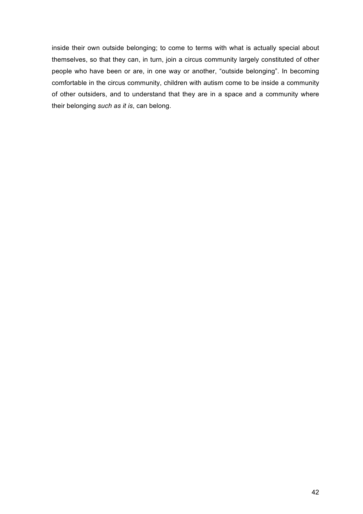inside their own outside belonging; to come to terms with what is actually special about themselves, so that they can, in turn, join a circus community largely constituted of other people who have been or are, in one way or another, "outside belonging". In becoming comfortable in the circus community, children with autism come to be inside a community of other outsiders, and to understand that they are in a space and a community where their belonging *such as it is*, can belong.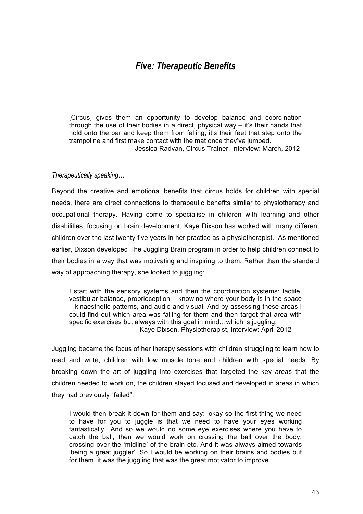# *Five: Therapeutic Benefits*

[Circus] gives them an opportunity to develop balance and coordination through the use of their bodies in a direct, physical way – it's their hands that hold onto the bar and keep them from falling, it's their feet that step onto the trampoline and first make contact with the mat once they've jumped. Jessica Radvan, Circus Trainer, Interview: March, 2012

### *Therapeutically speaking…*

Beyond the creative and emotional benefits that circus holds for children with special needs, there are direct connections to therapeutic benefits similar to physiotherapy and occupational therapy. Having come to specialise in children with learning and other disabilities, focusing on brain development, Kaye Dixson has worked with many different children over the last twenty-five years in her practice as a physiotherapist. As mentioned earlier, Dixson developed The Juggling Brain program in order to help children connect to their bodies in a way that was motivating and inspiring to them. Rather than the standard way of approaching therapy, she looked to juggling:

I start with the sensory systems and then the coordination systems: tactile, vestibular-balance, proprioception – knowing where your body is in the space – kinaesthetic patterns, and audio and visual. And by assessing these areas I could find out which area was failing for them and then target that area with specific exercises but always with this goal in mind...which is juggling. Kaye Dixson, Physiotherapist, Interview: April 2012

Juggling became the focus of her therapy sessions with children struggling to learn how to read and write, children with low muscle tone and children with special needs. By breaking down the art of juggling into exercises that targeted the key areas that the children needed to work on, the children stayed focused and developed in areas in which they had previously "failed":

I would then break it down for them and say: 'okay so the first thing we need to have for you to juggle is that we need to have your eyes working fantastically'. And so we would do some eye exercises where you have to catch the ball, then we would work on crossing the ball over the body, crossing over the 'midline' of the brain etc. And it was always aimed towards 'being a great juggler'. So I would be working on their brains and bodies but for them, it was the juggling that was the great motivator to improve.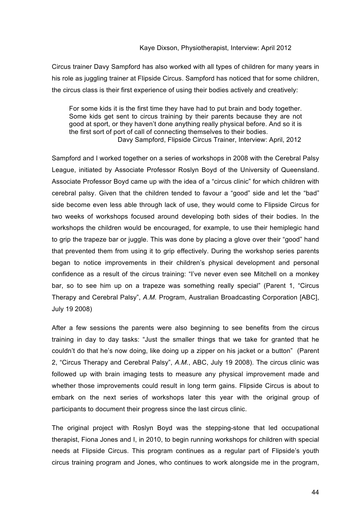#### Kaye Dixson, Physiotherapist, Interview: April 2012

Circus trainer Davy Sampford has also worked with all types of children for many years in his role as juggling trainer at Flipside Circus. Sampford has noticed that for some children, the circus class is their first experience of using their bodies actively and creatively:

For some kids it is the first time they have had to put brain and body together. Some kids get sent to circus training by their parents because they are not good at sport, or they haven't done anything really physical before. And so it is the first sort of port of call of connecting themselves to their bodies. Davy Sampford, Flipside Circus Trainer, Interview: April, 2012

Sampford and I worked together on a series of workshops in 2008 with the Cerebral Palsy League, initiated by Associate Professor Roslyn Boyd of the University of Queensland. Associate Professor Boyd came up with the idea of a "circus clinic" for which children with cerebral palsy. Given that the children tended to favour a "good" side and let the "bad" side become even less able through lack of use, they would come to Flipside Circus for two weeks of workshops focused around developing both sides of their bodies. In the workshops the children would be encouraged, for example, to use their hemiplegic hand to grip the trapeze bar or juggle. This was done by placing a glove over their "good" hand that prevented them from using it to grip effectively. During the workshop series parents began to notice improvements in their children's physical development and personal confidence as a result of the circus training: "I've never even see Mitchell on a monkey bar, so to see him up on a trapeze was something really special" (Parent 1, "Circus Therapy and Cerebral Palsy", *A.M.* Program, Australian Broadcasting Corporation [ABC], July 19 2008)

After a few sessions the parents were also beginning to see benefits from the circus training in day to day tasks: "Just the smaller things that we take for granted that he couldn't do that he's now doing, like doing up a zipper on his jacket or a button" (Parent 2, "Circus Therapy and Cerebral Palsy", *A.M.*, ABC, July 19 2008). The circus clinic was followed up with brain imaging tests to measure any physical improvement made and whether those improvements could result in long term gains. Flipside Circus is about to embark on the next series of workshops later this year with the original group of participants to document their progress since the last circus clinic.

The original project with Roslyn Boyd was the stepping-stone that led occupational therapist, Fiona Jones and I, in 2010, to begin running workshops for children with special needs at Flipside Circus. This program continues as a regular part of Flipside's youth circus training program and Jones, who continues to work alongside me in the program,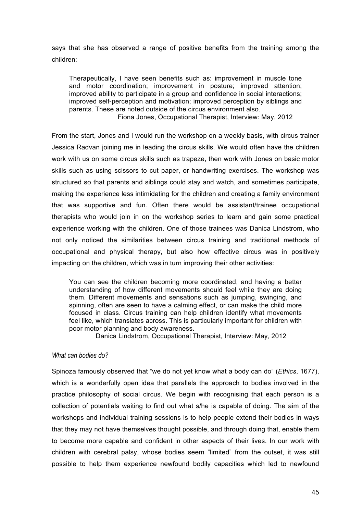says that she has observed a range of positive benefits from the training among the children:

Therapeutically, I have seen benefits such as: improvement in muscle tone and motor coordination; improvement in posture; improved attention; improved ability to participate in a group and confidence in social interactions; improved self-perception and motivation; improved perception by siblings and parents. These are noted outside of the circus environment also. Fiona Jones, Occupational Therapist, Interview: May, 2012

From the start, Jones and I would run the workshop on a weekly basis, with circus trainer Jessica Radvan joining me in leading the circus skills. We would often have the children work with us on some circus skills such as trapeze, then work with Jones on basic motor skills such as using scissors to cut paper, or handwriting exercises. The workshop was structured so that parents and siblings could stay and watch, and sometimes participate, making the experience less intimidating for the children and creating a family environment that was supportive and fun. Often there would be assistant/trainee occupational therapists who would join in on the workshop series to learn and gain some practical experience working with the children. One of those trainees was Danica Lindstrom, who not only noticed the similarities between circus training and traditional methods of occupational and physical therapy, but also how effective circus was in positively impacting on the children, which was in turn improving their other activities:

You can see the children becoming more coordinated, and having a better understanding of how different movements should feel while they are doing them. Different movements and sensations such as jumping, swinging, and spinning, often are seen to have a calming effect, or can make the child more focused in class. Circus training can help children identify what movements feel like, which translates across. This is particularly important for children with poor motor planning and body awareness.

Danica Lindstrom, Occupational Therapist, Interview: May, 2012

### *What can bodies do?*

Spinoza famously observed that "we do not yet know what a body can do" (*Ethics*, 1677), which is a wonderfully open idea that parallels the approach to bodies involved in the practice philosophy of social circus. We begin with recognising that each person is a collection of potentials waiting to find out what s/he is capable of doing. The aim of the workshops and individual training sessions is to help people extend their bodies in ways that they may not have themselves thought possible, and through doing that, enable them to become more capable and confident in other aspects of their lives. In our work with children with cerebral palsy, whose bodies seem "limited" from the outset, it was still possible to help them experience newfound bodily capacities which led to newfound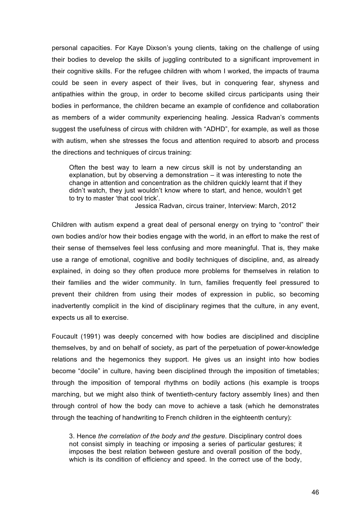personal capacities. For Kaye Dixson's young clients, taking on the challenge of using their bodies to develop the skills of juggling contributed to a significant improvement in their cognitive skills. For the refugee children with whom I worked, the impacts of trauma could be seen in every aspect of their lives, but in conquering fear, shyness and antipathies within the group, in order to become skilled circus participants using their bodies in performance, the children became an example of confidence and collaboration as members of a wider community experiencing healing. Jessica Radvan's comments suggest the usefulness of circus with children with "ADHD", for example, as well as those with autism, when she stresses the focus and attention required to absorb and process the directions and techniques of circus training:

Often the best way to learn a new circus skill is not by understanding an explanation, but by observing a demonstration – it was interesting to note the change in attention and concentration as the children quickly learnt that if they didn't watch, they just wouldn't know where to start, and hence, wouldn't get to try to master 'that cool trick'.

Jessica Radvan, circus trainer, Interview: March, 2012

Children with autism expend a great deal of personal energy on trying to "control" their own bodies and/or how their bodies engage with the world, in an effort to make the rest of their sense of themselves feel less confusing and more meaningful. That is, they make use a range of emotional, cognitive and bodily techniques of discipline, and, as already explained, in doing so they often produce more problems for themselves in relation to their families and the wider community. In turn, families frequently feel pressured to prevent their children from using their modes of expression in public, so becoming inadvertently complicit in the kind of disciplinary regimes that the culture, in any event, expects us all to exercise.

Foucault (1991) was deeply concerned with how bodies are disciplined and discipline themselves, by and on behalf of society, as part of the perpetuation of power-knowledge relations and the hegemonics they support. He gives us an insight into how bodies become "docile" in culture, having been disciplined through the imposition of timetables; through the imposition of temporal rhythms on bodily actions (his example is troops marching, but we might also think of twentieth-century factory assembly lines) and then through control of how the body can move to achieve a task (which he demonstrates through the teaching of handwriting to French children in the eighteenth century):

3. Hence *the correlation of the body and the gesture.* Disciplinary control does not consist simply in teaching or imposing a series of particular gestures; it imposes the best relation between gesture and overall position of the body, which is its condition of efficiency and speed. In the correct use of the body,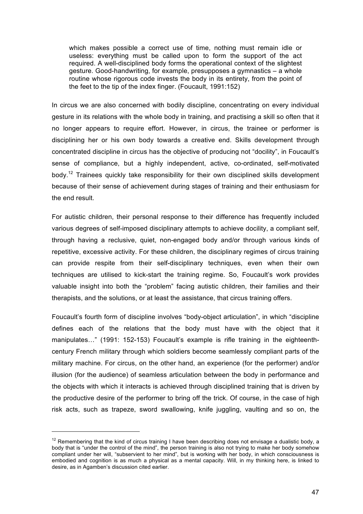which makes possible a correct use of time, nothing must remain idle or useless: everything must be called upon to form the support of the act required. A well-disciplined body forms the operational context of the slightest gesture. Good-handwriting, for example, presupposes a gymnastics – a whole routine whose rigorous code invests the body in its entirety, from the point of the feet to the tip of the index finger. (Foucault, 1991:152)

In circus we are also concerned with bodily discipline, concentrating on every individual gesture in its relations with the whole body in training, and practising a skill so often that it no longer appears to require effort. However, in circus, the trainee or performer is disciplining her or his own body towards a creative end. Skills development through concentrated discipline in circus has the objective of producing not "docility", in Foucault's sense of compliance, but a highly independent, active, co-ordinated, self-motivated body.<sup>12</sup> Trainees quickly take responsibility for their own disciplined skills development because of their sense of achievement during stages of training and their enthusiasm for the end result.

For autistic children, their personal response to their difference has frequently included various degrees of self-imposed disciplinary attempts to achieve docility, a compliant self, through having a reclusive, quiet, non-engaged body and/or through various kinds of repetitive, excessive activity. For these children, the disciplinary regimes of circus training can provide respite from their self-disciplinary techniques, even when their own techniques are utilised to kick-start the training regime. So, Foucault's work provides valuable insight into both the "problem" facing autistic children, their families and their therapists, and the solutions, or at least the assistance, that circus training offers.

Foucault's fourth form of discipline involves "body-object articulation", in which "discipline defines each of the relations that the body must have with the object that it manipulates…" (1991: 152-153) Foucault's example is rifle training in the eighteenthcentury French military through which soldiers become seamlessly compliant parts of the military machine. For circus, on the other hand, an experience (for the performer) and/or illusion (for the audience) of seamless articulation between the body in performance and the objects with which it interacts is achieved through disciplined training that is driven by the productive desire of the performer to bring off the trick. Of course, in the case of high risk acts, such as trapeze, sword swallowing, knife juggling, vaulting and so on, the

 $12$  Remembering that the kind of circus training I have been describing does not envisage a dualistic body, a body that is "under the control of the mind", the person training is also not trying to make her body somehow compliant under her will, "subservient to her mind", but is working with her body, in which consciousness is embodied and cognition is as much a physical as a mental capacity. Will, in my thinking here, is linked to desire, as in Agamben's discussion cited earlier.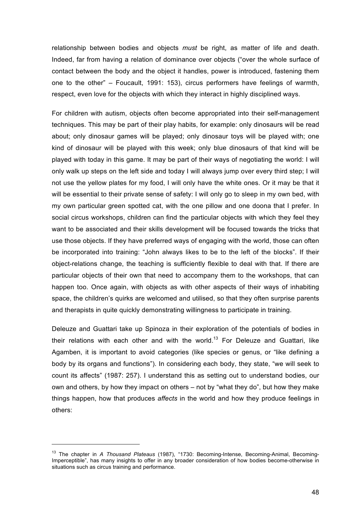relationship between bodies and objects *must* be right, as matter of life and death. Indeed, far from having a relation of dominance over objects ("over the whole surface of contact between the body and the object it handles, power is introduced, fastening them one to the other" – Foucault, 1991: 153), circus performers have feelings of warmth, respect, even love for the objects with which they interact in highly disciplined ways.

For children with autism, objects often become appropriated into their self-management techniques. This may be part of their play habits, for example: only dinosaurs will be read about; only dinosaur games will be played; only dinosaur toys will be played with; one kind of dinosaur will be played with this week; only blue dinosaurs of that kind will be played with today in this game. It may be part of their ways of negotiating the world: I will only walk up steps on the left side and today I will always jump over every third step; I will not use the yellow plates for my food, I will only have the white ones. Or it may be that it will be essential to their private sense of safety: I will only go to sleep in my own bed, with my own particular green spotted cat, with the one pillow and one doona that I prefer. In social circus workshops, children can find the particular objects with which they feel they want to be associated and their skills development will be focused towards the tricks that use those objects. If they have preferred ways of engaging with the world, those can often be incorporated into training: "John always likes to be to the left of the blocks". If their object-relations change, the teaching is sufficiently flexible to deal with that. If there are particular objects of their own that need to accompany them to the workshops, that can happen too. Once again, with objects as with other aspects of their ways of inhabiting space, the children's quirks are welcomed and utilised, so that they often surprise parents and therapists in quite quickly demonstrating willingness to participate in training.

Deleuze and Guattari take up Spinoza in their exploration of the potentials of bodies in their relations with each other and with the world.<sup>13</sup> For Deleuze and Guattari, like Agamben, it is important to avoid categories (like species or genus, or "like defining a body by its organs and functions"). In considering each body, they state, "we will seek to count its affects" (1987: 257). I understand this as setting out to understand bodies, our own and others, by how they impact on others – not by "what they do", but how they make things happen, how that produces *affects* in the world and how they produce feelings in others:

<sup>13</sup> The chapter in *A Thousand Plateaus* (1987), "1730: Becoming-Intense, Becoming-Animal, Becoming-Imperceptible", has many insights to offer in any broader consideration of how bodies become-otherwise in situations such as circus training and performance.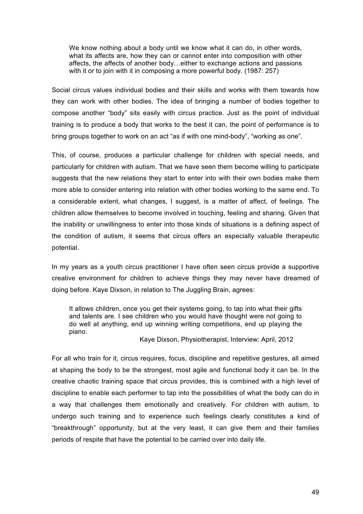We know nothing about a body until we know what it can do, in other words, what its affects are, how they can or cannot enter into composition with other affects, the affects of another body…either to exchange actions and passions with it or to join with it in composing a more powerful body. (1987: 257)

Social circus values individual bodies and their skills and works with them towards how they can work with other bodies. The idea of bringing a number of bodies together to compose another "body" sits easily with circus practice. Just as the point of individual training is to produce a body that works to the best it can, the point of performance is to bring groups together to work on an act "as if with one mind-body", "working as one".

This, of course, produces a particular challenge for children with special needs, and particularly for children with autism. That we have seen them become willing to participate suggests that the new relations they start to enter into with their own bodies make them more able to consider entering into relation with other bodies working to the same end. To a considerable extent, what changes, I suggest, is a matter of affect, of feelings. The children allow themselves to become involved in touching, feeling and sharing. Given that the inability or unwillingness to enter into those kinds of situations is a defining aspect of the condition of autism, it seems that circus offers an especially valuable therapeutic potential.

In my years as a youth circus practitioner I have often seen circus provide a supportive creative environment for children to achieve things they may never have dreamed of doing before. Kaye Dixson, in relation to The Juggling Brain, agrees:

It allows children, once you get their systems going, to tap into what their gifts and talents are. I see children who you would have thought were not going to do well at anything, end up winning writing competitions, end up playing the piano.

Kaye Dixson, Physiotherapist, Interview: April, 2012

For all who train for it, circus requires, focus, discipline and repetitive gestures, all aimed at shaping the body to be the strongest, most agile and functional body it can be. In the creative chaotic training space that circus provides, this is combined with a high level of discipline to enable each performer to tap into the possibilities of what the body can do in a way that challenges them emotionally and creatively. For children with autism, to undergo such training and to experience such feelings clearly constitutes a kind of "breakthrough" opportunity, but at the very least, it can give them and their families periods of respite that have the potential to be carried over into daily life.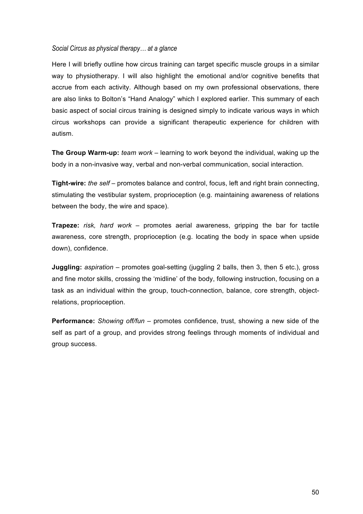### *Social Circus as physical therapy… at a glance*

Here I will briefly outline how circus training can target specific muscle groups in a similar way to physiotherapy. I will also highlight the emotional and/or cognitive benefits that accrue from each activity. Although based on my own professional observations, there are also links to Bolton's "Hand Analogy" which I explored earlier. This summary of each basic aspect of social circus training is designed simply to indicate various ways in which circus workshops can provide a significant therapeutic experience for children with autism.

**The Group Warm-up:** *team work* – learning to work beyond the individual, waking up the body in a non-invasive way, verbal and non-verbal communication, social interaction.

**Tight-wire:** *the self –* promotes balance and control, focus, left and right brain connecting, stimulating the vestibular system, proprioception (e.g. maintaining awareness of relations between the body, the wire and space).

**Trapeze:** *risk, hard work* – promotes aerial awareness, gripping the bar for tactile awareness, core strength, proprioception (e.g. locating the body in space when upside down), confidence.

**Juggling:** *aspiration –* promotes goal-setting (juggling 2 balls, then 3, then 5 etc.), gross and fine motor skills, crossing the 'midline' of the body, following instruction, focusing on a task as an individual within the group, touch-connection, balance, core strength, objectrelations, proprioception.

**Performance:** *Showing off/fun –* promotes confidence, trust, showing a new side of the self as part of a group, and provides strong feelings through moments of individual and group success.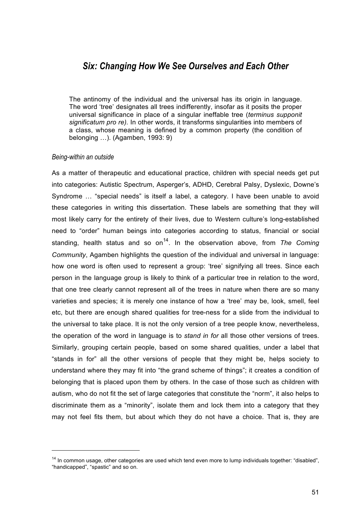# *Six: Changing How We See Ourselves and Each Other*

The antinomy of the individual and the universal has its origin in language. The word 'tree' designates all trees indifferently, insofar as it posits the proper universal significance in place of a singular ineffable tree (*terminus supponit significatum pro re).* In other words, it transforms singularities into members of a class, whose meaning is defined by a common property (the condition of belonging …). (Agamben, 1993: 9)

### *Being-within an outside*

As a matter of therapeutic and educational practice, children with special needs get put into categories: Autistic Spectrum, Asperger's, ADHD, Cerebral Palsy, Dyslexic, Downe's Syndrome … "special needs" is itself a label, a category. I have been unable to avoid these categories in writing this dissertation. These labels are something that they will most likely carry for the entirety of their lives, due to Western culture's long-established need to "order" human beings into categories according to status, financial or social standing, health status and so on<sup>14</sup>. In the observation above, from The Coming *Community*, Agamben highlights the question of the individual and universal in language: how one word is often used to represent a group: 'tree' signifying all trees. Since each person in the language group is likely to think of a particular tree in relation to the word, that one tree clearly cannot represent all of the trees in nature when there are so many varieties and species; it is merely one instance of how a 'tree' may be, look, smell, feel etc, but there are enough shared qualities for tree-ness for a slide from the individual to the universal to take place. It is not the only version of a tree people know, nevertheless, the operation of the word in language is to *stand in for* all those other versions of trees. Similarly, grouping certain people, based on some shared qualities, under a label that "stands in for" all the other versions of people that they might be, helps society to understand where they may fit into "the grand scheme of things"; it creates a condition of belonging that is placed upon them by others. In the case of those such as children with autism, who do not fit the set of large categories that constitute the "norm", it also helps to discriminate them as a "minority", isolate them and lock them into a category that they may not feel fits them, but about which they do not have a choice. That is, they are

<sup>&</sup>lt;sup>14</sup> In common usage, other categories are used which tend even more to lump individuals together: "disabled", "handicapped", "spastic" and so on.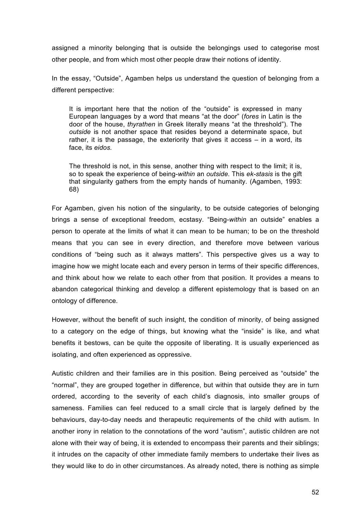assigned a minority belonging that is outside the belongings used to categorise most other people, and from which most other people draw their notions of identity.

In the essay, "Outside", Agamben helps us understand the question of belonging from a different perspective:

It is important here that the notion of the "outside" is expressed in many European languages by a word that means "at the door" (*fores* in Latin is the door of the house, *thyrathen* in Greek literally means "at the threshold"). The *outside* is not another space that resides beyond a determinate space, but rather, it is the passage, the exteriority that gives it access – in a word, its face, its *eidos.* 

The threshold is not, in this sense, another thing with respect to the limit; it is, so to speak the experience of being-*within* an *outside.* This *ek-stasis* is the gift that singularity gathers from the empty hands of humanity. (Agamben, 1993: 68)

For Agamben, given his notion of the singularity, to be outside categories of belonging brings a sense of exceptional freedom, ecstasy. "Being-*within* an outside" enables a person to operate at the limits of what it can mean to be human; to be on the threshold means that you can see in every direction, and therefore move between various conditions of "being such as it always matters". This perspective gives us a way to imagine how we might locate each and every person in terms of their specific differences, and think about how we relate to each other from that position. It provides a means to abandon categorical thinking and develop a different epistemology that is based on an ontology of difference.

However, without the benefit of such insight, the condition of minority, of being assigned to a category on the edge of things, but knowing what the "inside" is like, and what benefits it bestows, can be quite the opposite of liberating. It is usually experienced as isolating, and often experienced as oppressive.

Autistic children and their families are in this position. Being perceived as "outside" the "normal", they are grouped together in difference, but within that outside they are in turn ordered, according to the severity of each child's diagnosis, into smaller groups of sameness. Families can feel reduced to a small circle that is largely defined by the behaviours, day-to-day needs and therapeutic requirements of the child with autism. In another irony in relation to the connotations of the word "autism", autistic children are not alone with their way of being, it is extended to encompass their parents and their siblings; it intrudes on the capacity of other immediate family members to undertake their lives as they would like to do in other circumstances. As already noted, there is nothing as simple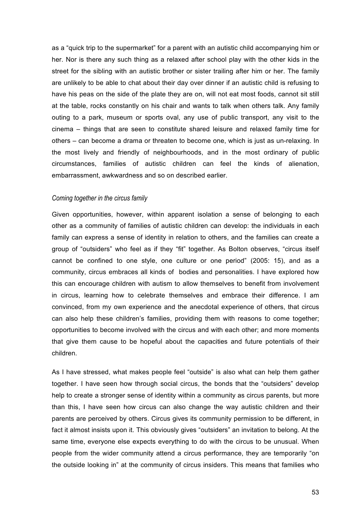as a "quick trip to the supermarket" for a parent with an autistic child accompanying him or her. Nor is there any such thing as a relaxed after school play with the other kids in the street for the sibling with an autistic brother or sister trailing after him or her. The family are unlikely to be able to chat about their day over dinner if an autistic child is refusing to have his peas on the side of the plate they are on, will not eat most foods, cannot sit still at the table, rocks constantly on his chair and wants to talk when others talk. Any family outing to a park, museum or sports oval, any use of public transport, any visit to the cinema – things that are seen to constitute shared leisure and relaxed family time for others – can become a drama or threaten to become one, which is just as un-relaxing. In the most lively and friendly of neighbourhoods, and in the most ordinary of public circumstances, families of autistic children can feel the kinds of alienation, embarrassment, awkwardness and so on described earlier.

#### *Coming together in the circus family*

Given opportunities, however, within apparent isolation a sense of belonging to each other as a community of families of autistic children can develop: the individuals in each family can express a sense of identity in relation to others, and the families can create a group of "outsiders" who feel as if they "fit" together. As Bolton observes, "circus itself cannot be confined to one style, one culture or one period" (2005: 15), and as a community, circus embraces all kinds of bodies and personalities. I have explored how this can encourage children with autism to allow themselves to benefit from involvement in circus, learning how to celebrate themselves and embrace their difference. I am convinced, from my own experience and the anecdotal experience of others, that circus can also help these children's families, providing them with reasons to come together; opportunities to become involved with the circus and with each other; and more moments that give them cause to be hopeful about the capacities and future potentials of their children.

As I have stressed, what makes people feel "outside" is also what can help them gather together. I have seen how through social circus, the bonds that the "outsiders" develop help to create a stronger sense of identity within a community as circus parents, but more than this, I have seen how circus can also change the way autistic children and their parents are perceived by others. Circus gives its community permission to be different, in fact it almost insists upon it. This obviously gives "outsiders" an invitation to belong. At the same time, everyone else expects everything to do with the circus to be unusual. When people from the wider community attend a circus performance, they are temporarily "on the outside looking in" at the community of circus insiders. This means that families who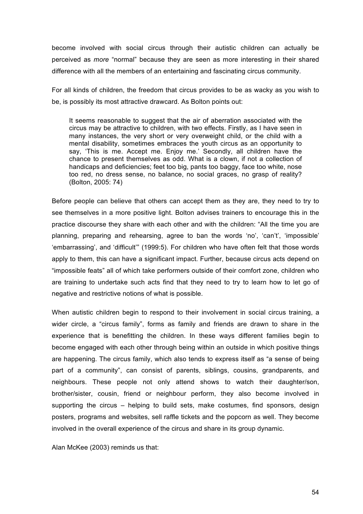become involved with social circus through their autistic children can actually be perceived as *more* "normal" because they are seen as more interesting in their shared difference with all the members of an entertaining and fascinating circus community.

For all kinds of children, the freedom that circus provides to be as wacky as you wish to be, is possibly its most attractive drawcard. As Bolton points out:

It seems reasonable to suggest that the air of aberration associated with the circus may be attractive to children, with two effects. Firstly, as I have seen in many instances, the very short or very overweight child, or the child with a mental disability, sometimes embraces the youth circus as an opportunity to say, 'This is me. Accept me. Enjoy me.' Secondly, all children have the chance to present themselves as odd. What is a clown, if not a collection of handicaps and deficiencies; feet too big, pants too baggy, face too white, nose too red, no dress sense, no balance, no social graces, no grasp of reality? (Bolton, 2005: 74)

Before people can believe that others can accept them as they are, they need to try to see themselves in a more positive light. Bolton advises trainers to encourage this in the practice discourse they share with each other and with the children: "All the time you are planning, preparing and rehearsing, agree to ban the words 'no', 'can't', 'impossible' 'embarrassing', and 'difficult'" (1999:5). For children who have often felt that those words apply to them, this can have a significant impact. Further, because circus acts depend on "impossible feats" all of which take performers outside of their comfort zone, children who are training to undertake such acts find that they need to try to learn how to let go of negative and restrictive notions of what is possible.

When autistic children begin to respond to their involvement in social circus training, a wider circle, a "circus family", forms as family and friends are drawn to share in the experience that is benefitting the children. In these ways different families begin to become engaged with each other through being within an outside in which positive things are happening. The circus family, which also tends to express itself as "a sense of being part of a community", can consist of parents, siblings, cousins, grandparents, and neighbours. These people not only attend shows to watch their daughter/son, brother/sister, cousin, friend or neighbour perform, they also become involved in supporting the circus – helping to build sets, make costumes, find sponsors, design posters, programs and websites, sell raffle tickets and the popcorn as well. They become involved in the overall experience of the circus and share in its group dynamic.

Alan McKee (2003) reminds us that: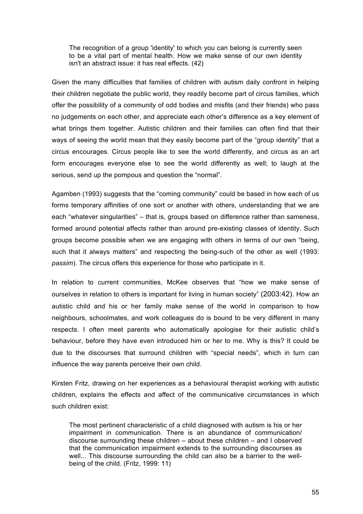The recognition of a group 'identity' to which you can belong is currently seen to be a vital part of mental health. How we make sense of our own identity isn't an abstract issue: it has real effects. (42)

Given the many difficulties that families of children with autism daily confront in helping their children negotiate the public world, they readily become part of circus families, which offer the possibility of a community of odd bodies and misfits (and their friends) who pass no judgements on each other, and appreciate each other's difference as a key element of what brings them together. Autistic children and their families can often find that their ways of seeing the world mean that they easily become part of the "group identity" that a circus encourages. Circus people like to see the world differently, and circus as an art form encourages everyone else to see the world differently as well; to laugh at the serious, send up the pompous and question the "normal".

Agamben (1993) suggests that the "coming community" could be based in how each of us forms temporary affinities of one sort or another with others, understanding that we are each "whatever singularities" – that is, groups based on difference rather than sameness, formed around potential affects rather than around pre-existing classes of identity. Such groups become possible when we are engaging with others in terms of our own "being, such that it always matters" and respecting the being-such of the other as well (1993: *passim*). The circus offers this experience for those who participate in it.

In relation to current communities, McKee observes that "how we make sense of ourselves in relation to others is important for living in human society" (2003:42). How an autistic child and his or her family make sense of the world in comparison to how neighbours, schoolmates, and work colleagues do is bound to be very different in many respects. I often meet parents who automatically apologise for their autistic child's behaviour, before they have even introduced him or her to me. Why is this? It could be due to the discourses that surround children with "special needs", which in turn can influence the way parents perceive their own child.

Kirsten Fritz, drawing on her experiences as a behavioural therapist working with autistic children, explains the effects and affect of the communicative circumstances in which such children exist:

The most pertinent characteristic of a child diagnosed with autism is his or her impairment in communication. There is an abundance of communication/ discourse surrounding these children – about these children – and I observed that the communication impairment extends to the surrounding discourses as well... This discourse surrounding the child can also be a barrier to the wellbeing of the child. (Fritz, 1999: 11)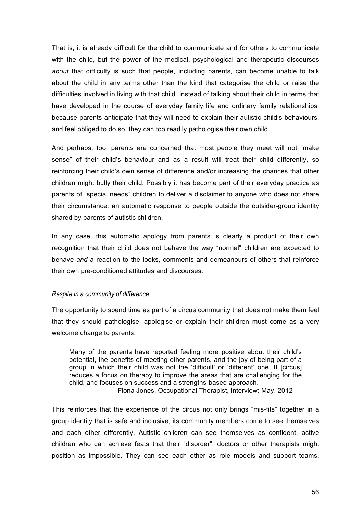That is, it is already difficult for the child to communicate and for others to communicate with the child, but the power of the medical, psychological and therapeutic discourses *about* that difficulty is such that people, including parents, can become unable to talk about the child in any terms other than the kind that categorise the child or raise the difficulties involved in living with that child. Instead of talking about their child in terms that have developed in the course of everyday family life and ordinary family relationships, because parents anticipate that they will need to explain their autistic child's behaviours, and feel obliged to do so, they can too readily pathologise their own child.

And perhaps, too, parents are concerned that most people they meet will not "make sense" of their child's behaviour and as a result will treat their child differently, so reinforcing their child's own sense of difference and/or increasing the chances that other children might bully their child. Possibly it has become part of their everyday practice as parents of "special needs" children to deliver a disclaimer to anyone who does not share their circumstance: an automatic response to people outside the outsider-group identity shared by parents of autistic children.

In any case, this automatic apology from parents is clearly a product of their own recognition that their child does not behave the way "normal" children are expected to behave *and* a reaction to the looks, comments and demeanours of others that reinforce their own pre-conditioned attitudes and discourses.

### *Respite in a community of difference*

The opportunity to spend time as part of a circus community that does not make them feel that they should pathologise, apologise or explain their children must come as a very welcome change to parents:

Many of the parents have reported feeling more positive about their child's potential, the benefits of meeting other parents, and the joy of being part of a group in which their child was not the 'difficult' or 'different' one. It [circus] reduces a focus on therapy to improve the areas that are challenging for the child, and focuses on success and a strengths-based approach. Fiona Jones, Occupational Therapist, Interview: May. 2012

This reinforces that the experience of the circus not only brings "mis-fits" together in a group identity that is safe and inclusive, its community members come to see themselves and each other differently. Autistic children can see themselves as confident, active children who can achieve feats that their "disorder", doctors or other therapists might position as impossible. They can see each other as role models and support teams.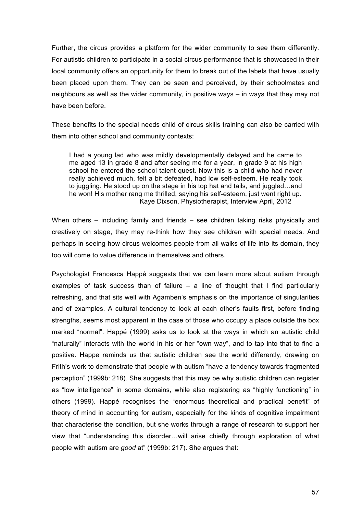Further, the circus provides a platform for the wider community to see them differently. For autistic children to participate in a social circus performance that is showcased in their local community offers an opportunity for them to break out of the labels that have usually been placed upon them. They can be seen and perceived, by their schoolmates and neighbours as well as the wider community, in positive ways – in ways that they may not have been before.

These benefits to the special needs child of circus skills training can also be carried with them into other school and community contexts:

I had a young lad who was mildly developmentally delayed and he came to me aged 13 in grade 8 and after seeing me for a year, in grade 9 at his high school he entered the school talent quest. Now this is a child who had never really achieved much, felt a bit defeated, had low self-esteem. He really took to juggling. He stood up on the stage in his top hat and tails, and juggled…and he won! His mother rang me thrilled, saying his self-esteem, just went right up. Kaye Dixson, Physiotherapist, Interview April, 2012

When others – including family and friends – see children taking risks physically and creatively on stage, they may re-think how they see children with special needs. And perhaps in seeing how circus welcomes people from all walks of life into its domain, they too will come to value difference in themselves and others.

Psychologist Francesca Happé suggests that we can learn more about autism through examples of task success than of failure  $-$  a line of thought that I find particularly refreshing, and that sits well with Agamben's emphasis on the importance of singularities and of examples. A cultural tendency to look at each other's faults first, before finding strengths, seems most apparent in the case of those who occupy a place outside the box marked "normal". Happé (1999) asks us to look at the ways in which an autistic child "naturally" interacts with the world in his or her "own way", and to tap into that to find a positive. Happe reminds us that autistic children see the world differently, drawing on Frith's work to demonstrate that people with autism "have a tendency towards fragmented perception" (1999b: 218). She suggests that this may be why autistic children can register as "low intelligence" in some domains, while also registering as "highly functioning" in others (1999). Happé recognises the "enormous theoretical and practical benefit" of theory of mind in accounting for autism, especially for the kinds of cognitive impairment that characterise the condition, but she works through a range of research to support her view that "understanding this disorder…will arise chiefly through exploration of what people with autism are *good* at" (1999b: 217). She argues that: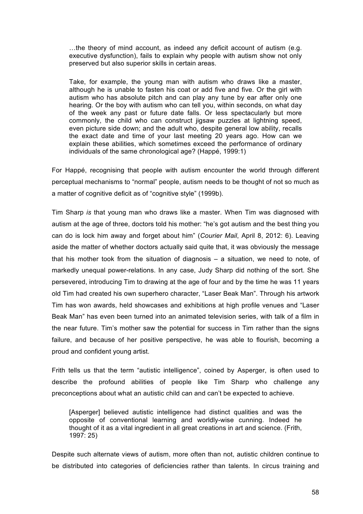…the theory of mind account, as indeed any deficit account of autism (e.g. executive dysfunction), fails to explain why people with autism show not only preserved but also superior skills in certain areas.

Take, for example, the young man with autism who draws like a master, although he is unable to fasten his coat or add five and five. Or the girl with autism who has absolute pitch and can play any tune by ear after only one hearing. Or the boy with autism who can tell you, within seconds, on what day of the week any past or future date falls. Or less spectacularly but more commonly, the child who can construct jigsaw puzzles at lightning speed, even picture side down; and the adult who, despite general low ability, recalls the exact date and time of your last meeting 20 years ago. How can we explain these abilities, which sometimes exceed the performance of ordinary individuals of the same chronological age? (Happé, 1999:1)

For Happé, recognising that people with autism encounter the world through different perceptual mechanisms to "normal" people, autism needs to be thought of not so much as a matter of cognitive deficit as of "cognitive style" (1999b).

Tim Sharp *is* that young man who draws like a master. When Tim was diagnosed with autism at the age of three, doctors told his mother: "he's got autism and the best thing you can do is lock him away and forget about him" (*Courier Mail*, April 8, 2012: 6). Leaving aside the matter of whether doctors actually said quite that, it was obviously the message that his mother took from the situation of diagnosis – a situation, we need to note, of markedly unequal power-relations. In any case, Judy Sharp did nothing of the sort. She persevered, introducing Tim to drawing at the age of four and by the time he was 11 years old Tim had created his own superhero character, "Laser Beak Man". Through his artwork Tim has won awards, held showcases and exhibitions at high profile venues and "Laser Beak Man" has even been turned into an animated television series, with talk of a film in the near future. Tim's mother saw the potential for success in Tim rather than the signs failure, and because of her positive perspective, he was able to flourish, becoming a proud and confident young artist.

Frith tells us that the term "autistic intelligence", coined by Asperger, is often used to describe the profound abilities of people like Tim Sharp who challenge any preconceptions about what an autistic child can and can't be expected to achieve.

[Asperger] believed autistic intelligence had distinct qualities and was the opposite of conventional learning and worldly-wise cunning. Indeed he thought of it as a vital ingredient in all great creations in art and science. (Frith, 1997: 25)

Despite such alternate views of autism, more often than not, autistic children continue to be distributed into categories of deficiencies rather than talents. In circus training and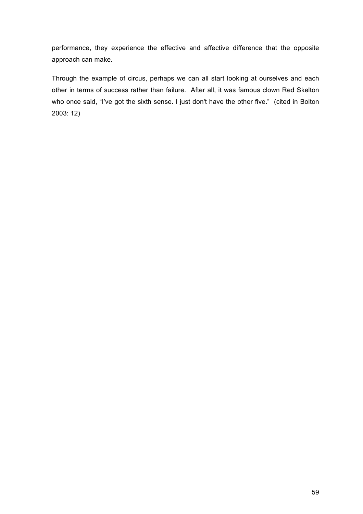performance, they experience the effective and affective difference that the opposite approach can make.

Through the example of circus, perhaps we can all start looking at ourselves and each other in terms of success rather than failure. After all, it was famous clown Red Skelton who once said, "I've got the sixth sense. I just don't have the other five." (cited in Bolton 2003: 12)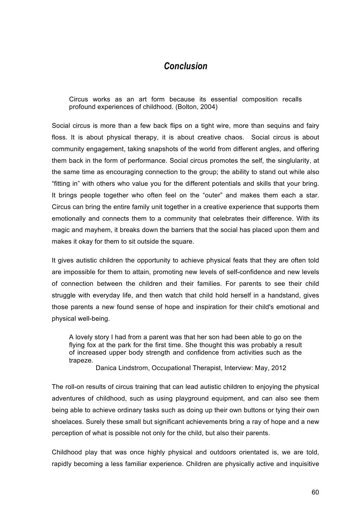# *Conclusion*

Circus works as an art form because its essential composition recalls profound experiences of childhood. (Bolton, 2004)

Social circus is more than a few back flips on a tight wire, more than sequins and fairy floss. It is about physical therapy, it is about creative chaos. Social circus is about community engagement, taking snapshots of the world from different angles, and offering them back in the form of performance. Social circus promotes the self, the singlularity, at the same time as encouraging connection to the group; the ability to stand out while also "fitting in" with others who value you for the different potentials and skills that your bring. It brings people together who often feel on the "outer" and makes them each a star. Circus can bring the entire family unit together in a creative experience that supports them emotionally and connects them to a community that celebrates their difference. With its magic and mayhem, it breaks down the barriers that the social has placed upon them and makes it okay for them to sit outside the square.

It gives autistic children the opportunity to achieve physical feats that they are often told are impossible for them to attain, promoting new levels of self-confidence and new levels of connection between the children and their families. For parents to see their child struggle with everyday life, and then watch that child hold herself in a handstand, gives those parents a new found sense of hope and inspiration for their child's emotional and physical well-being.

A lovely story I had from a parent was that her son had been able to go on the flying fox at the park for the first time. She thought this was probably a result of increased upper body strength and confidence from activities such as the trapeze.

Danica Lindstrom, Occupational Therapist, Interview: May, 2012

The roll-on results of circus training that can lead autistic children to enjoying the physical adventures of childhood, such as using playground equipment, and can also see them being able to achieve ordinary tasks such as doing up their own buttons or tying their own shoelaces. Surely these small but significant achievements bring a ray of hope and a new perception of what is possible not only for the child, but also their parents.

Childhood play that was once highly physical and outdoors orientated is, we are told, rapidly becoming a less familiar experience. Children are physically active and inquisitive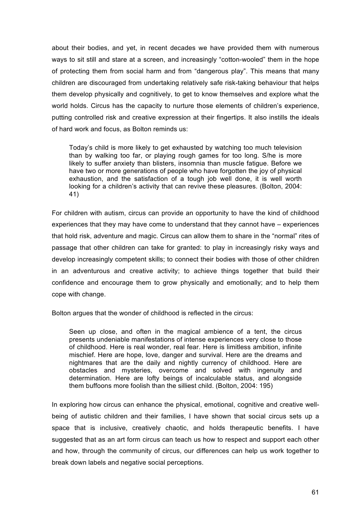about their bodies, and yet, in recent decades we have provided them with numerous ways to sit still and stare at a screen, and increasingly "cotton-wooled" them in the hope of protecting them from social harm and from "dangerous play". This means that many children are discouraged from undertaking relatively safe risk-taking behaviour that helps them develop physically and cognitively, to get to know themselves and explore what the world holds. Circus has the capacity to nurture those elements of children's experience, putting controlled risk and creative expression at their fingertips. It also instills the ideals of hard work and focus, as Bolton reminds us:

Today's child is more likely to get exhausted by watching too much television than by walking too far, or playing rough games for too long. S/he is more likely to suffer anxiety than blisters, insomnia than muscle fatigue. Before we have two or more generations of people who have forgotten the joy of physical exhaustion, and the satisfaction of a tough job well done, it is well worth looking for a children's activity that can revive these pleasures. (Bolton, 2004: 41)

For children with autism, circus can provide an opportunity to have the kind of childhood experiences that they may have come to understand that they cannot have – experiences that hold risk, adventure and magic. Circus can allow them to share in the "normal" rites of passage that other children can take for granted: to play in increasingly risky ways and develop increasingly competent skills; to connect their bodies with those of other children in an adventurous and creative activity; to achieve things together that build their confidence and encourage them to grow physically and emotionally; and to help them cope with change.

Bolton argues that the wonder of childhood is reflected in the circus:

Seen up close, and often in the magical ambience of a tent, the circus presents undeniable manifestations of intense experiences very close to those of childhood. Here is real wonder, real fear. Here is limitless ambition, infinite mischief. Here are hope, love, danger and survival. Here are the dreams and nightmares that are the daily and nightly currency of childhood. Here are obstacles and mysteries, overcome and solved with ingenuity and determination. Here are lofty beings of incalculable status, and alongside them buffoons more foolish than the silliest child. (Bolton, 2004: 195)

In exploring how circus can enhance the physical, emotional, cognitive and creative wellbeing of autistic children and their families, I have shown that social circus sets up a space that is inclusive, creatively chaotic, and holds therapeutic benefits. I have suggested that as an art form circus can teach us how to respect and support each other and how, through the community of circus, our differences can help us work together to break down labels and negative social perceptions.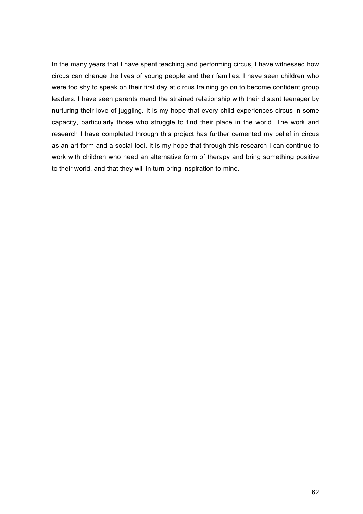In the many years that I have spent teaching and performing circus, I have witnessed how circus can change the lives of young people and their families. I have seen children who were too shy to speak on their first day at circus training go on to become confident group leaders. I have seen parents mend the strained relationship with their distant teenager by nurturing their love of juggling. It is my hope that every child experiences circus in some capacity, particularly those who struggle to find their place in the world. The work and research I have completed through this project has further cemented my belief in circus as an art form and a social tool. It is my hope that through this research I can continue to work with children who need an alternative form of therapy and bring something positive to their world, and that they will in turn bring inspiration to mine.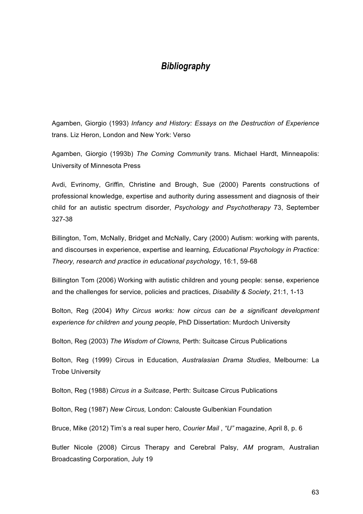# *Bibliography*

Agamben, Giorgio (1993) *Infancy and History: Essays on the Destruction of Experience* trans. Liz Heron, London and New York: Verso

Agamben, Giorgio (1993b) *The Coming Community* trans. Michael Hardt, Minneapolis: University of Minnesota Press

Avdi, Evrinomy, Griffin, Christine and Brough, Sue (2000) Parents constructions of professional knowledge, expertise and authority during assessment and diagnosis of their child for an autistic spectrum disorder, *Psychology and Psychotherapy* 73, September 327-38

Billington, Tom, McNally, Bridget and McNally, Cary (2000) Autism: working with parents, and discourses in experience, expertise and learning*, Educational Psychology in Practice: Theory, research and practice in educational psychology*, 16:1, 59-68

Billington Tom (2006) Working with autistic children and young people: sense, experience and the challenges for service, policies and practices, *Disability & Society*, 21:1, 1-13

Bolton, Reg (2004) *Why Circus works: how circus can be a significant development experience for children and young people*, PhD Dissertation: Murdoch University

Bolton, Reg (2003) *The Wisdom of Clowns,* Perth: Suitcase Circus Publications

Bolton, Reg (1999) Circus in Education, *Australasian Drama Studies*, Melbourne: La Trobe University

Bolton, Reg (1988) *Circus in a Suitcase*, Perth: Suitcase Circus Publications

Bolton, Reg (1987) *New Circus,* London: Calouste Gulbenkian Foundation

Bruce, Mike (2012) Tim's a real super hero, *Courier Mail* , *"U"* magazine, April 8, p. 6

Butler Nicole (2008) Circus Therapy and Cerebral Palsy, *AM* program, Australian Broadcasting Corporation, July 19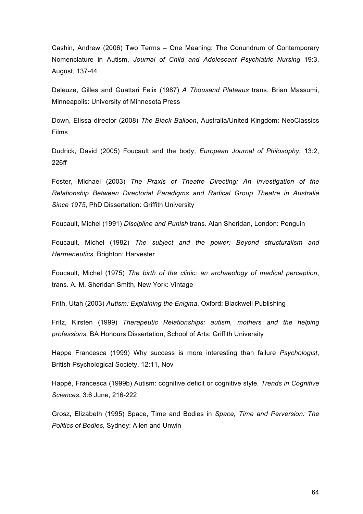Cashin, Andrew (2006) Two Terms – One Meaning: The Conundrum of Contemporary Nomenclature in Autism, *Journal of Child and Adolescent Psychiatric Nursing* 19:3, August, 137-44

Deleuze, Gilles and Guattari Felix (1987) *A Thousand Plateaus* trans. Brian Massumi, Minneapolis: University of Minnesota Press

Down, Elissa director (2008) *The Black Balloon*, Australia/United Kingdom: NeoClassics Films

Dudrick, David (2005) Foucault and the body, *European Journal of Philosophy*, 13:2, 226ff

Foster, Michael (2003) *The Praxis of Theatre Directing: An Investigation of the Relationship Between Directorial Paradigms and Radical Group Theatre in Australia Since 1975*, PhD Dissertation: Griffith University

Foucault, Michel (1991) *Discipline and Punish* trans. Alan Sheridan, London: Penguin

Foucault, Michel (1982) *The subject and the power: Beyond structuralism and Hermeneutics,* Brighton: Harvester

Foucault, Michel (1975) *The birth of the clinic: an archaeology of medical perception*, trans. A. M. Sheridan Smith, New York: Vintage

Frith, Utah (2003) *Autism: Explaining the Enigma*, Oxford: Blackwell Publishing

Fritz, Kirsten (1999) *Therapeutic Relationships: autism, mothers and the helping professions*, BA Honours Dissertation, School of Arts: Griffith University

Happe Francesca (1999) Why success is more interesting than failure *Psychologist*, British Psychological Society, 12:11, Nov

Happé, Francesca (1999b) Autism: cognitive deficit or cognitive style, *Trends in Cognitive Sciences*, 3:6 June, 216-222

Grosz, Elizabeth (1995) Space, Time and Bodies in *Space, Time and Perversion: The Politics of Bodies,* Sydney: Allen and Unwin